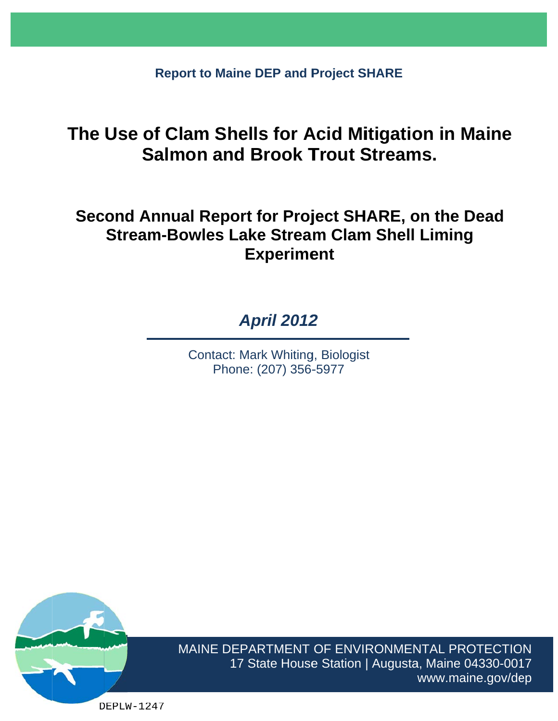**Report to Maine DEP and Project SHARE** 

# **The Use of Clam Shells for Acid Mitigation in Maine Salmon and Brook Trout Streams.**

# **Second Annual Report for Project SHARE, on the Dead Stream-Bowles Lake Stream Clam Shell Liming Experiment**

# *Ap pril 2012 2*

Contact: Mark Whiting, Biologist Phone: (207) 356-5977



MAINE DEPARTMENT OF ENVIRONMENTAL PROTECTION 17 State House Station | Augusta, Maine 04330-0017 www.maine.gov/dep

DEPLW-1247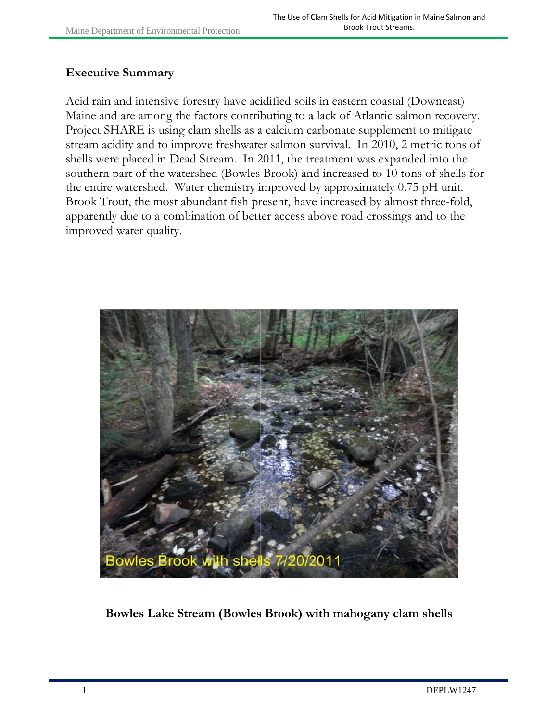#### Executive Summary

Acid rain and intensive forestry have acidified soils in eastern coastal (Downeast) Maine and are among the factors contributing to a lack of Atlantic salmon recovery. Project SHARE is using clam shells as a calcium carbonate supplement to mitigate Project SHARE is using clam shells as a calcium carbonate supplement to mitigate<br>stream acidity and to improve freshwater salmon survival. In 2010, 2 metric tons of shells were placed in Dead Stream. In 2011, the treatment was expanded into the southern part of the watershed (Bowles Brook) and increased to 10 tons of shells for the entire watershed. Water chemistry improved by approximately 0.75 pH unit. Brook Trout, the most abundant fish present, have increased by almost three-fold, apparently due to a combination of better access above road crossings and to the improved water quality.



Bowles Lake Stream (Bowles Brook) with mahogany clam shells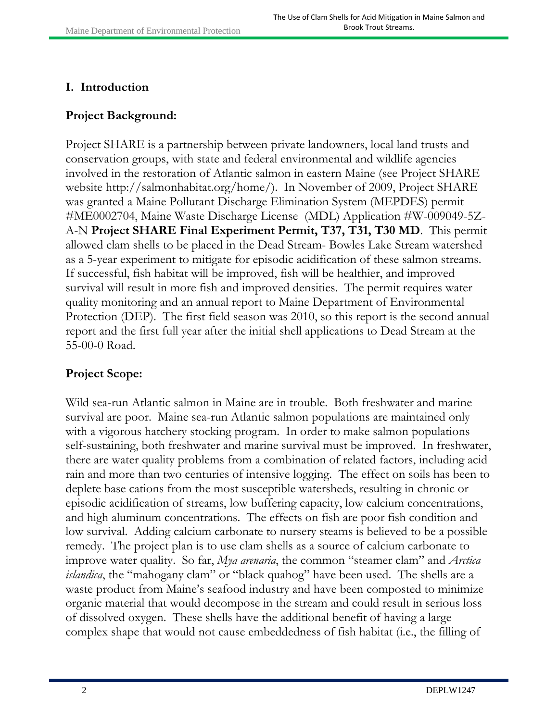#### **I. Introduction**

#### **Project Background:**

Project SHARE is a partnership between private landowners, local land trusts and conservation groups, with state and federal environmental and wildlife agencies involved in the restoration of Atlantic salmon in eastern Maine (see Project SHARE website http://salmonhabitat.org/home/). In November of 2009, Project SHARE was granted a Maine Pollutant Discharge Elimination System (MEPDES) permit #ME0002704, Maine Waste Discharge License (MDL) Application #W-009049-5Z-A-N **Project SHARE Final Experiment Permit, T37, T31, T30 MD**. This permit allowed clam shells to be placed in the Dead Stream- Bowles Lake Stream watershed as a 5-year experiment to mitigate for episodic acidification of these salmon streams. If successful, fish habitat will be improved, fish will be healthier, and improved survival will result in more fish and improved densities. The permit requires water quality monitoring and an annual report to Maine Department of Environmental Protection (DEP). The first field season was 2010, so this report is the second annual report and the first full year after the initial shell applications to Dead Stream at the 55-00-0 Road.

# **Project Scope:**

Wild sea-run Atlantic salmon in Maine are in trouble. Both freshwater and marine survival are poor. Maine sea-run Atlantic salmon populations are maintained only with a vigorous hatchery stocking program. In order to make salmon populations self-sustaining, both freshwater and marine survival must be improved. In freshwater, there are water quality problems from a combination of related factors, including acid rain and more than two centuries of intensive logging. The effect on soils has been to deplete base cations from the most susceptible watersheds, resulting in chronic or episodic acidification of streams, low buffering capacity, low calcium concentrations, and high aluminum concentrations. The effects on fish are poor fish condition and low survival. Adding calcium carbonate to nursery steams is believed to be a possible remedy. The project plan is to use clam shells as a source of calcium carbonate to improve water quality. So far, *Mya arenaria*, the common "steamer clam" and *Arctica islandica*, the "mahogany clam" or "black quahog" have been used. The shells are a waste product from Maine's seafood industry and have been composted to minimize organic material that would decompose in the stream and could result in serious loss of dissolved oxygen. These shells have the additional benefit of having a large complex shape that would not cause embeddedness of fish habitat (i.e., the filling of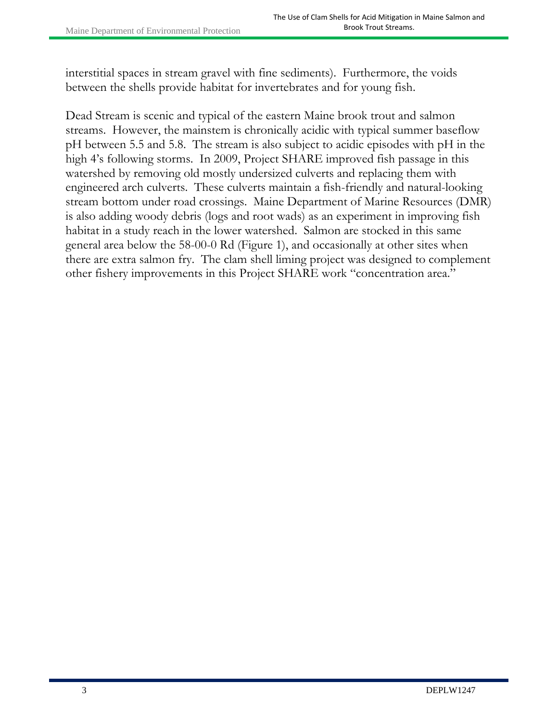interstitial spaces in stream gravel with fine sediments). Furthermore, the voids between the shells provide habitat for invertebrates and for young fish.

Dead Stream is scenic and typical of the eastern Maine brook trout and salmon streams. However, the mainstem is chronically acidic with typical summer baseflow pH between 5.5 and 5.8. The stream is also subject to acidic episodes with pH in the high 4's following storms. In 2009, Project SHARE improved fish passage in this watershed by removing old mostly undersized culverts and replacing them with engineered arch culverts. These culverts maintain a fish-friendly and natural-looking stream bottom under road crossings. Maine Department of Marine Resources (DMR) is also adding woody debris (logs and root wads) as an experiment in improving fish habitat in a study reach in the lower watershed. Salmon are stocked in this same general area below the 58-00-0 Rd (Figure 1), and occasionally at other sites when there are extra salmon fry. The clam shell liming project was designed to complement other fishery improvements in this Project SHARE work "concentration area."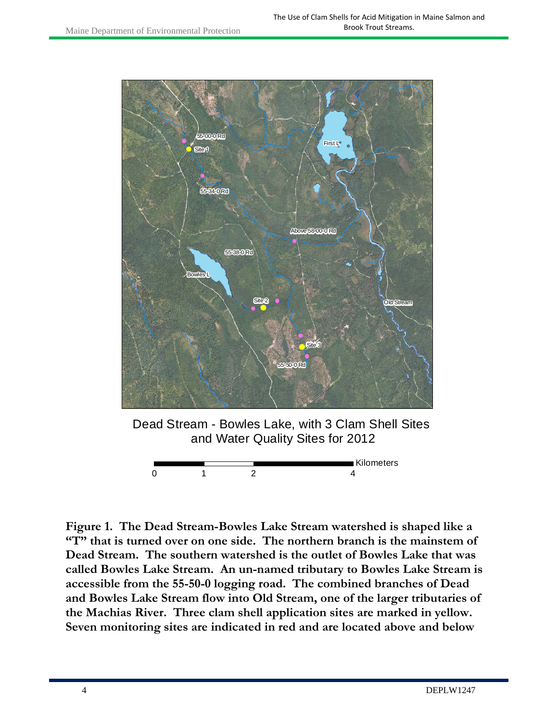

Dead Stream - Bowles Lake, with 3 Clam Shell Sites and Water Quality Sites for 2012



**Figure 1. The Dead Stream-Bowles Lake Stream watershed is shaped like a "T" that is turned over on one side. The northern branch is the mainstem of Dead Stream. The southern watershed is the outlet of Bowles Lake that was called Bowles Lake Stream. An un-named tributary to Bowles Lake Stream is accessible from the 55-50-0 logging road. The combined branches of Dead and Bowles Lake Stream flow into Old Stream, one of the larger tributaries of the Machias River. Three clam shell application sites are marked in yellow. Seven monitoring sites are indicated in red and are located above and below**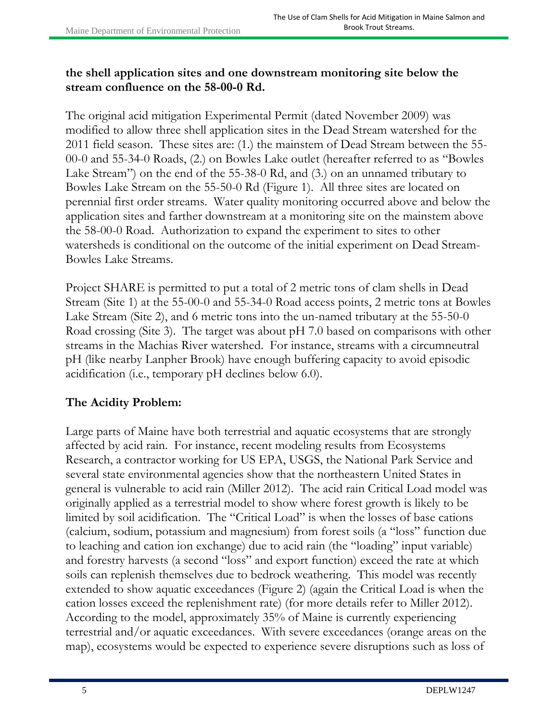### **the shell application sites and one downstream monitoring site below the stream confluence on the 58-00-0 Rd.**

The original acid mitigation Experimental Permit (dated November 2009) was modified to allow three shell application sites in the Dead Stream watershed for the 2011 field season. These sites are: (1.) the mainstem of Dead Stream between the 55- 00-0 and 55-34-0 Roads, (2.) on Bowles Lake outlet (hereafter referred to as "Bowles Lake Stream") on the end of the 55-38-0 Rd, and (3.) on an unnamed tributary to Bowles Lake Stream on the 55-50-0 Rd (Figure 1). All three sites are located on perennial first order streams. Water quality monitoring occurred above and below the application sites and farther downstream at a monitoring site on the mainstem above the 58-00-0 Road. Authorization to expand the experiment to sites to other watersheds is conditional on the outcome of the initial experiment on Dead Stream-Bowles Lake Streams.

Project SHARE is permitted to put a total of 2 metric tons of clam shells in Dead Stream (Site 1) at the 55-00-0 and 55-34-0 Road access points, 2 metric tons at Bowles Lake Stream (Site 2), and 6 metric tons into the un-named tributary at the 55-50-0 Road crossing (Site 3). The target was about pH 7.0 based on comparisons with other streams in the Machias River watershed. For instance, streams with a circumneutral pH (like nearby Lanpher Brook) have enough buffering capacity to avoid episodic acidification (i.e., temporary pH declines below 6.0).

# **The Acidity Problem:**

Large parts of Maine have both terrestrial and aquatic ecosystems that are strongly affected by acid rain. For instance, recent modeling results from Ecosystems Research, a contractor working for US EPA, USGS, the National Park Service and several state environmental agencies show that the northeastern United States in general is vulnerable to acid rain (Miller 2012). The acid rain Critical Load model was originally applied as a terrestrial model to show where forest growth is likely to be limited by soil acidification. The "Critical Load" is when the losses of base cations (calcium, sodium, potassium and magnesium) from forest soils (a "loss" function due to leaching and cation ion exchange) due to acid rain (the "loading" input variable) and forestry harvests (a second "loss" and export function) exceed the rate at which soils can replenish themselves due to bedrock weathering. This model was recently extended to show aquatic exceedances (Figure 2) (again the Critical Load is when the cation losses exceed the replenishment rate) (for more details refer to Miller 2012). According to the model, approximately 35% of Maine is currently experiencing terrestrial and/or aquatic exceedances. With severe exceedances (orange areas on the map), ecosystems would be expected to experience severe disruptions such as loss of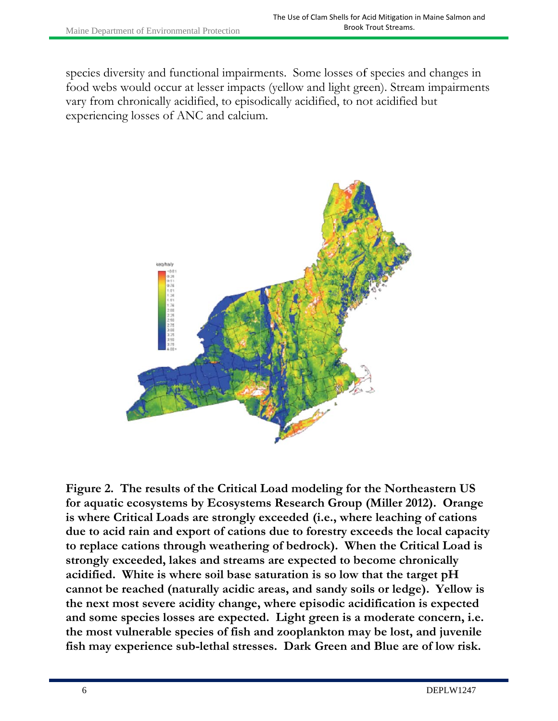species diversity and functional impairments. Some losses of species and changes in food webs would occur at lesser impacts (yellow and light green). Stream impairments vary from chronically acidified, to episodically acidified, to not acidified but experiencing losses of ANC and calcium.



Figure 2. The results of the Critical Load modeling for the Northeastern US for aquatic ecosystems by Ecosystems Research Group (Miller 2012). Orange is where Critical Loads are strongly exceeded (i.e., where leaching of cations due to acid rain and export of cations due to forestry exceeds the local capacity to replace cations through weathering of bedrock). When the Critical Load is strongly exceeded, lakes and streams are expected to become chronically acidified. White is where soil base saturation is so low that the target pH cannot be reached (naturally acidic areas, and sandy soils or ledge). Yellow is the next most severe acidity change, where episodic acidification is expected and some species losses are expected. Light green is a moderate concern, i.e. the most vulnerable species of fish and zooplankton may be lost, and juvenile fish may experience sub-lethal stresses. Dark Green and Blue are of low risk.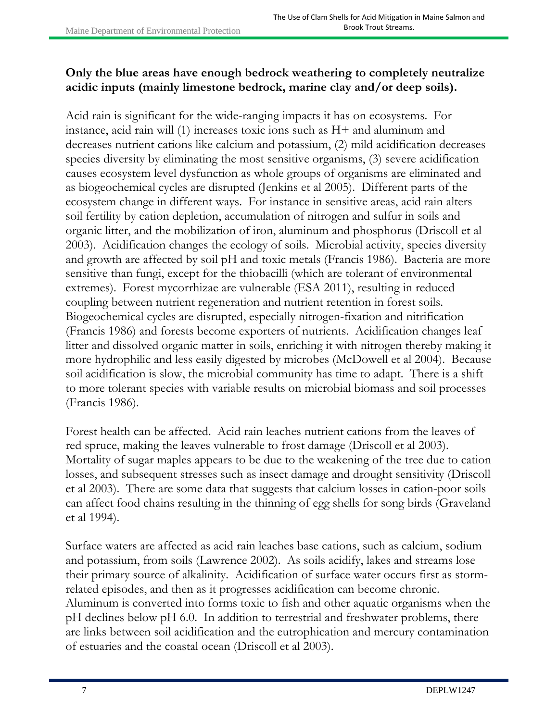### **Only the blue areas have enough bedrock weathering to completely neutralize acidic inputs (mainly limestone bedrock, marine clay and/or deep soils).**

Acid rain is significant for the wide-ranging impacts it has on ecosystems. For instance, acid rain will (1) increases toxic ions such as H+ and aluminum and decreases nutrient cations like calcium and potassium, (2) mild acidification decreases species diversity by eliminating the most sensitive organisms, (3) severe acidification causes ecosystem level dysfunction as whole groups of organisms are eliminated and as biogeochemical cycles are disrupted (Jenkins et al 2005). Different parts of the ecosystem change in different ways. For instance in sensitive areas, acid rain alters soil fertility by cation depletion, accumulation of nitrogen and sulfur in soils and organic litter, and the mobilization of iron, aluminum and phosphorus (Driscoll et al 2003). Acidification changes the ecology of soils. Microbial activity, species diversity and growth are affected by soil pH and toxic metals (Francis 1986). Bacteria are more sensitive than fungi, except for the thiobacilli (which are tolerant of environmental extremes). Forest mycorrhizae are vulnerable (ESA 2011), resulting in reduced coupling between nutrient regeneration and nutrient retention in forest soils. Biogeochemical cycles are disrupted, especially nitrogen-fixation and nitrification (Francis 1986) and forests become exporters of nutrients. Acidification changes leaf litter and dissolved organic matter in soils, enriching it with nitrogen thereby making it more hydrophilic and less easily digested by microbes (McDowell et al 2004). Because soil acidification is slow, the microbial community has time to adapt. There is a shift to more tolerant species with variable results on microbial biomass and soil processes (Francis 1986).

Forest health can be affected. Acid rain leaches nutrient cations from the leaves of red spruce, making the leaves vulnerable to frost damage (Driscoll et al 2003). Mortality of sugar maples appears to be due to the weakening of the tree due to cation losses, and subsequent stresses such as insect damage and drought sensitivity (Driscoll et al 2003). There are some data that suggests that calcium losses in cation-poor soils can affect food chains resulting in the thinning of egg shells for song birds (Graveland et al 1994).

Surface waters are affected as acid rain leaches base cations, such as calcium, sodium and potassium, from soils (Lawrence 2002). As soils acidify, lakes and streams lose their primary source of alkalinity. Acidification of surface water occurs first as stormrelated episodes, and then as it progresses acidification can become chronic. Aluminum is converted into forms toxic to fish and other aquatic organisms when the pH declines below pH 6.0. In addition to terrestrial and freshwater problems, there are links between soil acidification and the eutrophication and mercury contamination of estuaries and the coastal ocean (Driscoll et al 2003).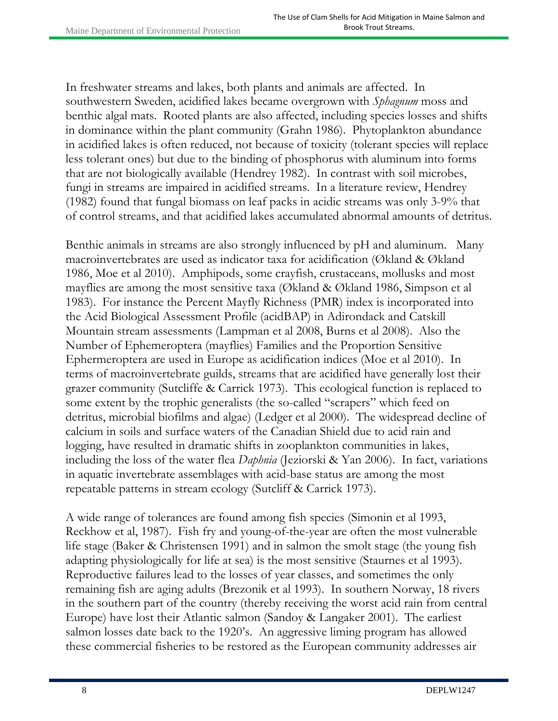In freshwater streams and lakes, both plants and animals are affected. In southwestern Sweden, acidified lakes became overgrown with *Sphagnum* moss and benthic algal mats. Rooted plants are also affected, including species losses and shifts in dominance within the plant community (Grahn 1986). Phytoplankton abundance in acidified lakes is often reduced, not because of toxicity (tolerant species will replace less tolerant ones) but due to the binding of phosphorus with aluminum into forms that are not biologically available (Hendrey 1982). In contrast with soil microbes, fungi in streams are impaired in acidified streams. In a literature review, Hendrey (1982) found that fungal biomass on leaf packs in acidic streams was only 3-9% that of control streams, and that acidified lakes accumulated abnormal amounts of detritus.

Benthic animals in streams are also strongly influenced by pH and aluminum. Many macroinvertebrates are used as indicator taxa for acidification (Økland & Økland 1986, Moe et al 2010). Amphipods, some crayfish, crustaceans, mollusks and most mayflies are among the most sensitive taxa (Økland & Økland 1986, Simpson et al 1983). For instance the Percent Mayfly Richness (PMR) index is incorporated into the Acid Biological Assessment Profile (acidBAP) in Adirondack and Catskill Mountain stream assessments (Lampman et al 2008, Burns et al 2008). Also the Number of Ephemeroptera (mayflies) Families and the Proportion Sensitive Ephermeroptera are used in Europe as acidification indices (Moe et al 2010). In terms of macroinvertebrate guilds, streams that are acidified have generally lost their grazer community (Sutcliffe & Carrick 1973). This ecological function is replaced to some extent by the trophic generalists (the so-called "scrapers" which feed on detritus, microbial biofilms and algae) (Ledger et al 2000). The widespread decline of calcium in soils and surface waters of the Canadian Shield due to acid rain and logging, have resulted in dramatic shifts in zooplankton communities in lakes, including the loss of the water flea *Daphnia* (Jeziorski & Yan 2006). In fact, variations in aquatic invertebrate assemblages with acid-base status are among the most repeatable patterns in stream ecology (Sutcliff & Carrick 1973).

A wide range of tolerances are found among fish species (Simonin et al 1993, Reckhow et al, 1987). Fish fry and young-of-the-year are often the most vulnerable life stage (Baker & Christensen 1991) and in salmon the smolt stage (the young fish adapting physiologically for life at sea) is the most sensitive (Staurnes et al 1993). Reproductive failures lead to the losses of year classes, and sometimes the only remaining fish are aging adults (Brezonik et al 1993). In southern Norway, 18 rivers in the southern part of the country (thereby receiving the worst acid rain from central Europe) have lost their Atlantic salmon (Sandoy & Langaker 2001). The earliest salmon losses date back to the 1920's. An aggressive liming program has allowed these commercial fisheries to be restored as the European community addresses air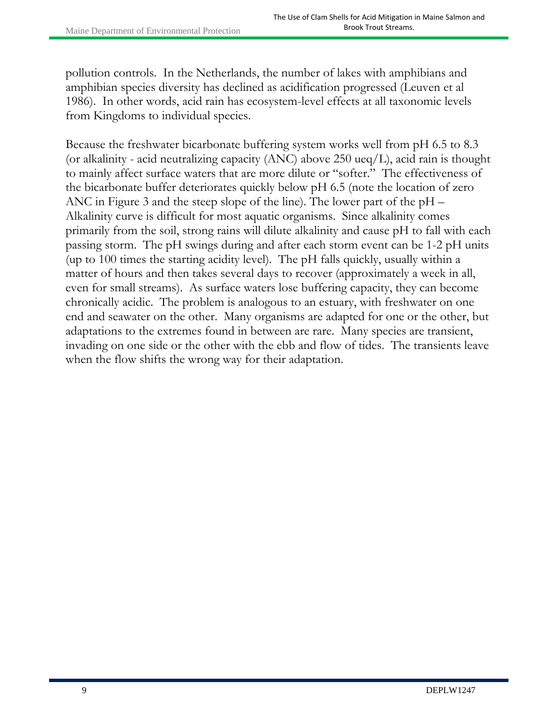pollution controls. In the Netherlands, the number of lakes with amphibians and amphibian species diversity has declined as acidification progressed (Leuven et al 1986). In other words, acid rain has ecosystem-level effects at all taxonomic levels from Kingdoms to individual species.

Because the freshwater bicarbonate buffering system works well from pH 6.5 to 8.3 (or alkalinity - acid neutralizing capacity (ANC) above 250 ueq/L), acid rain is thought to mainly affect surface waters that are more dilute or "softer." The effectiveness of the bicarbonate buffer deteriorates quickly below pH 6.5 (note the location of zero ANC in Figure 3 and the steep slope of the line). The lower part of the pH – Alkalinity curve is difficult for most aquatic organisms. Since alkalinity comes primarily from the soil, strong rains will dilute alkalinity and cause pH to fall with each passing storm. The pH swings during and after each storm event can be 1-2 pH units (up to 100 times the starting acidity level). The pH falls quickly, usually within a matter of hours and then takes several days to recover (approximately a week in all, even for small streams). As surface waters lose buffering capacity, they can become chronically acidic. The problem is analogous to an estuary, with freshwater on one end and seawater on the other. Many organisms are adapted for one or the other, but adaptations to the extremes found in between are rare. Many species are transient, invading on one side or the other with the ebb and flow of tides. The transients leave when the flow shifts the wrong way for their adaptation.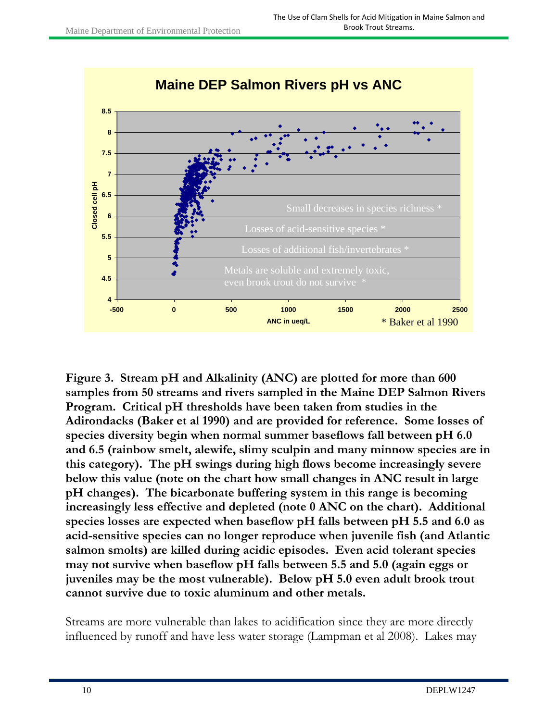

**Figure 3. Stream pH and Alkalinity (ANC) are plotted for more than 600 samples from 50 streams and rivers sampled in the Maine DEP Salmon Rivers Program. Critical pH thresholds have been taken from studies in the Adirondacks (Baker et al 1990) and are provided for reference. Some losses of species diversity begin when normal summer baseflows fall between pH 6.0 and 6.5 (rainbow smelt, alewife, slimy sculpin and many minnow species are in this category). The pH swings during high flows become increasingly severe below this value (note on the chart how small changes in ANC result in large pH changes). The bicarbonate buffering system in this range is becoming increasingly less effective and depleted (note 0 ANC on the chart). Additional species losses are expected when baseflow pH falls between pH 5.5 and 6.0 as acid-sensitive species can no longer reproduce when juvenile fish (and Atlantic salmon smolts) are killed during acidic episodes. Even acid tolerant species may not survive when baseflow pH falls between 5.5 and 5.0 (again eggs or juveniles may be the most vulnerable). Below pH 5.0 even adult brook trout cannot survive due to toxic aluminum and other metals.** 

Streams are more vulnerable than lakes to acidification since they are more directly influenced by runoff and have less water storage (Lampman et al 2008). Lakes may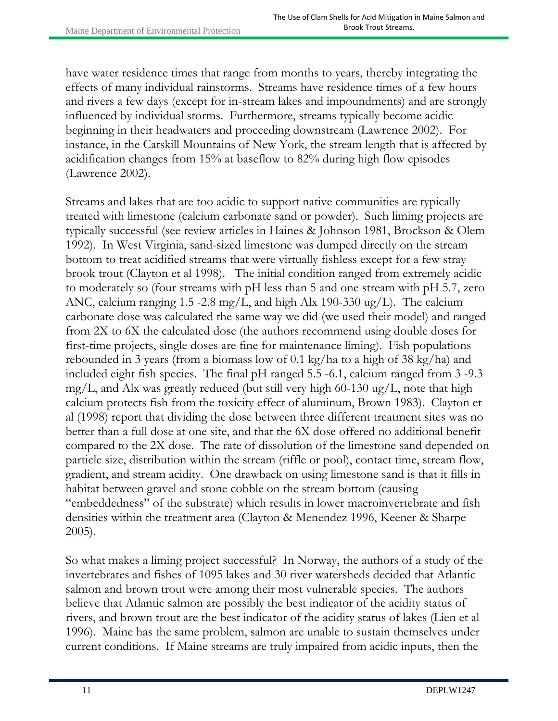have water residence times that range from months to years, thereby integrating the effects of many individual rainstorms. Streams have residence times of a few hours and rivers a few days (except for in-stream lakes and impoundments) and are strongly influenced by individual storms. Furthermore, streams typically become acidic beginning in their headwaters and proceeding downstream (Lawrence 2002). For instance, in the Catskill Mountains of New York, the stream length that is affected by acidification changes from 15% at baseflow to 82% during high flow episodes (Lawrence 2002).

Streams and lakes that are too acidic to support native communities are typically treated with limestone (calcium carbonate sand or powder). Such liming projects are typically successful (see review articles in Haines & Johnson 1981, Brockson & Olem 1992). In West Virginia, sand-sized limestone was dumped directly on the stream bottom to treat acidified streams that were virtually fishless except for a few stray brook trout (Clayton et al 1998). The initial condition ranged from extremely acidic to moderately so (four streams with pH less than 5 and one stream with pH 5.7, zero ANC, calcium ranging 1.5 -2.8 mg/L, and high Alx 190-330 ug/L). The calcium carbonate dose was calculated the same way we did (we used their model) and ranged from 2X to 6X the calculated dose (the authors recommend using double doses for first-time projects, single doses are fine for maintenance liming). Fish populations rebounded in 3 years (from a biomass low of 0.1 kg/ha to a high of 38 kg/ha) and included eight fish species. The final pH ranged 5.5 -6.1, calcium ranged from 3 -9.3 mg/L, and Alx was greatly reduced (but still very high  $60-130 \text{ ug/L}$ , note that high calcium protects fish from the toxicity effect of aluminum, Brown 1983). Clayton et al (1998) report that dividing the dose between three different treatment sites was no better than a full dose at one site, and that the 6X dose offered no additional benefit compared to the 2X dose. The rate of dissolution of the limestone sand depended on particle size, distribution within the stream (riffle or pool), contact time, stream flow, gradient, and stream acidity. One drawback on using limestone sand is that it fills in habitat between gravel and stone cobble on the stream bottom (causing "embeddedness" of the substrate) which results in lower macroinvertebrate and fish densities within the treatment area (Clayton & Menendez 1996, Keener & Sharpe 2005).

So what makes a liming project successful? In Norway, the authors of a study of the invertebrates and fishes of 1095 lakes and 30 river watersheds decided that Atlantic salmon and brown trout were among their most vulnerable species. The authors believe that Atlantic salmon are possibly the best indicator of the acidity status of rivers, and brown trout are the best indicator of the acidity status of lakes (Lien et al 1996). Maine has the same problem, salmon are unable to sustain themselves under current conditions. If Maine streams are truly impaired from acidic inputs, then the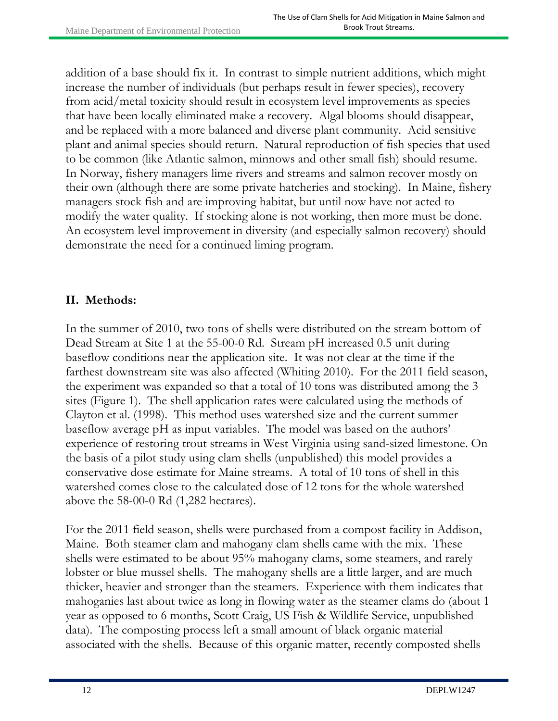addition of a base should fix it. In contrast to simple nutrient additions, which might increase the number of individuals (but perhaps result in fewer species), recovery from acid/metal toxicity should result in ecosystem level improvements as species that have been locally eliminated make a recovery. Algal blooms should disappear, and be replaced with a more balanced and diverse plant community. Acid sensitive plant and animal species should return. Natural reproduction of fish species that used to be common (like Atlantic salmon, minnows and other small fish) should resume. In Norway, fishery managers lime rivers and streams and salmon recover mostly on their own (although there are some private hatcheries and stocking). In Maine, fishery managers stock fish and are improving habitat, but until now have not acted to modify the water quality. If stocking alone is not working, then more must be done. An ecosystem level improvement in diversity (and especially salmon recovery) should demonstrate the need for a continued liming program.

# **II. Methods:**

In the summer of 2010, two tons of shells were distributed on the stream bottom of Dead Stream at Site 1 at the 55-00-0 Rd. Stream pH increased 0.5 unit during baseflow conditions near the application site. It was not clear at the time if the farthest downstream site was also affected (Whiting 2010). For the 2011 field season, the experiment was expanded so that a total of 10 tons was distributed among the 3 sites (Figure 1). The shell application rates were calculated using the methods of Clayton et al. (1998). This method uses watershed size and the current summer baseflow average pH as input variables. The model was based on the authors' experience of restoring trout streams in West Virginia using sand-sized limestone. On the basis of a pilot study using clam shells (unpublished) this model provides a conservative dose estimate for Maine streams. A total of 10 tons of shell in this watershed comes close to the calculated dose of 12 tons for the whole watershed above the 58-00-0 Rd (1,282 hectares).

For the 2011 field season, shells were purchased from a compost facility in Addison, Maine. Both steamer clam and mahogany clam shells came with the mix. These shells were estimated to be about 95% mahogany clams, some steamers, and rarely lobster or blue mussel shells. The mahogany shells are a little larger, and are much thicker, heavier and stronger than the steamers. Experience with them indicates that mahoganies last about twice as long in flowing water as the steamer clams do (about 1 year as opposed to 6 months, Scott Craig, US Fish & Wildlife Service, unpublished data). The composting process left a small amount of black organic material associated with the shells. Because of this organic matter, recently composted shells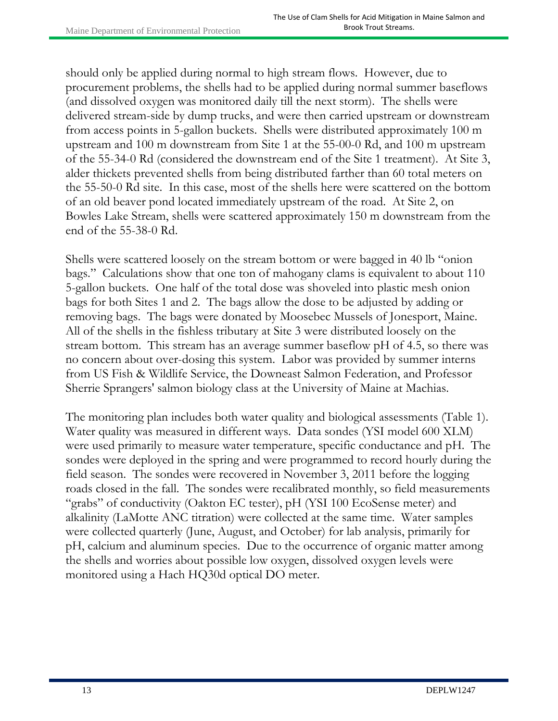should only be applied during normal to high stream flows. However, due to procurement problems, the shells had to be applied during normal summer baseflows (and dissolved oxygen was monitored daily till the next storm). The shells were delivered stream-side by dump trucks, and were then carried upstream or downstream from access points in 5-gallon buckets. Shells were distributed approximately 100 m upstream and 100 m downstream from Site 1 at the 55-00-0 Rd, and 100 m upstream of the 55-34-0 Rd (considered the downstream end of the Site 1 treatment). At Site 3, alder thickets prevented shells from being distributed farther than 60 total meters on the 55-50-0 Rd site. In this case, most of the shells here were scattered on the bottom of an old beaver pond located immediately upstream of the road. At Site 2, on Bowles Lake Stream, shells were scattered approximately 150 m downstream from the end of the 55-38-0 Rd.

Shells were scattered loosely on the stream bottom or were bagged in 40 lb "onion bags." Calculations show that one ton of mahogany clams is equivalent to about 110 5-gallon buckets. One half of the total dose was shoveled into plastic mesh onion bags for both Sites 1 and 2. The bags allow the dose to be adjusted by adding or removing bags. The bags were donated by Moosebec Mussels of Jonesport, Maine. All of the shells in the fishless tributary at Site 3 were distributed loosely on the stream bottom. This stream has an average summer baseflow pH of 4.5, so there was no concern about over-dosing this system. Labor was provided by summer interns from US Fish & Wildlife Service, the Downeast Salmon Federation, and Professor Sherrie Sprangers' salmon biology class at the University of Maine at Machias.

The monitoring plan includes both water quality and biological assessments (Table 1). Water quality was measured in different ways. Data sondes (YSI model 600 XLM) were used primarily to measure water temperature, specific conductance and pH. The sondes were deployed in the spring and were programmed to record hourly during the field season. The sondes were recovered in November 3, 2011 before the logging roads closed in the fall. The sondes were recalibrated monthly, so field measurements "grabs" of conductivity (Oakton EC tester), pH (YSI 100 EcoSense meter) and alkalinity (LaMotte ANC titration) were collected at the same time. Water samples were collected quarterly (June, August, and October) for lab analysis, primarily for pH, calcium and aluminum species. Due to the occurrence of organic matter among the shells and worries about possible low oxygen, dissolved oxygen levels were monitored using a Hach HQ30d optical DO meter.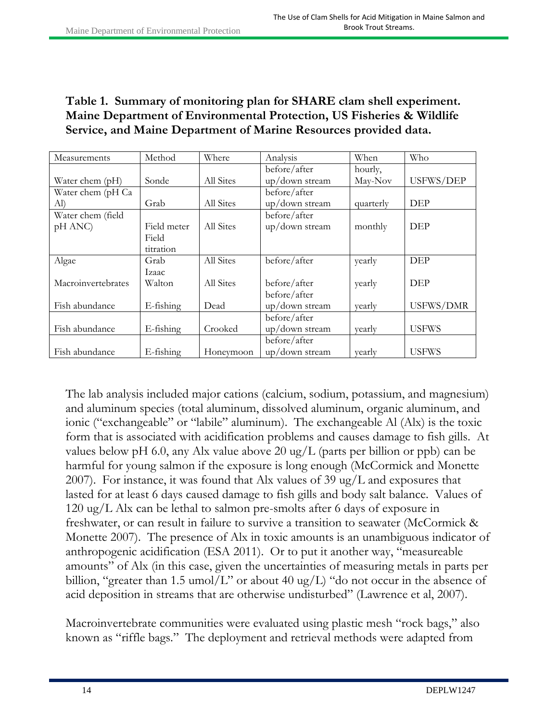### **Table 1. Summary of monitoring plan for SHARE clam shell experiment. Maine Department of Environmental Protection, US Fisheries & Wildlife Service, and Maine Department of Marine Resources provided data.**

| Measurements       | Method       | Where     | Analysis       | When      | Who              |
|--------------------|--------------|-----------|----------------|-----------|------------------|
|                    |              |           | before/after   | hourly,   |                  |
| Water chem (pH)    | Sonde        | All Sites | up/down stream | May-Nov   | USFWS/DEP        |
| Water chem (pH Ca  |              |           | before/after   |           |                  |
| Al)                | Grab         | All Sites | up/down stream | quarterly | DEP              |
| Water chem (field  |              |           | before/after   |           |                  |
| pH ANC)            | Field meter  | All Sites | up/down stream | monthly   | DEP              |
|                    | Field        |           |                |           |                  |
|                    | titration    |           |                |           |                  |
| Algae              | Grab         | All Sites | before/after   | yearly    | <b>DEP</b>       |
|                    | Izaac        |           |                |           |                  |
| Macroinvertebrates | Walton       | All Sites | before/after   | yearly    | <b>DEP</b>       |
|                    |              |           | before/after   |           |                  |
| Fish abundance     | E-fishing    | Dead      | up/down stream | yearly    | <b>USFWS/DMR</b> |
|                    |              |           | before/after   |           |                  |
| Fish abundance     | $E$ -fishing | Crooked   | up/down stream | yearly    | <b>USFWS</b>     |
|                    |              |           | before/after   |           |                  |
| Fish abundance     | E-fishing    | Honeymoon | up/down stream | yearly    | <b>USFWS</b>     |

The lab analysis included major cations (calcium, sodium, potassium, and magnesium) and aluminum species (total aluminum, dissolved aluminum, organic aluminum, and ionic ("exchangeable" or "labile" aluminum). The exchangeable Al (Alx) is the toxic form that is associated with acidification problems and causes damage to fish gills. At values below pH 6.0, any Alx value above 20 ug/L (parts per billion or ppb) can be harmful for young salmon if the exposure is long enough (McCormick and Monette 2007). For instance, it was found that Alx values of 39 ug/L and exposures that lasted for at least 6 days caused damage to fish gills and body salt balance. Values of 120 ug/L Alx can be lethal to salmon pre-smolts after 6 days of exposure in freshwater, or can result in failure to survive a transition to seawater (McCormick & Monette 2007). The presence of Alx in toxic amounts is an unambiguous indicator of anthropogenic acidification (ESA 2011). Or to put it another way, "measureable amounts" of Alx (in this case, given the uncertainties of measuring metals in parts per billion, "greater than 1.5 umol/L" or about 40 ug/L) "do not occur in the absence of acid deposition in streams that are otherwise undisturbed" (Lawrence et al, 2007).

Macroinvertebrate communities were evaluated using plastic mesh "rock bags," also known as "riffle bags." The deployment and retrieval methods were adapted from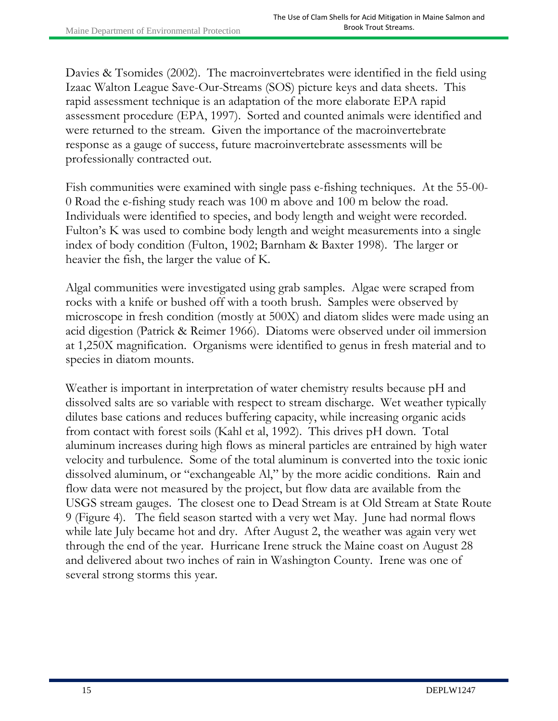Davies & Tsomides (2002). The macroinvertebrates were identified in the field using Izaac Walton League Save-Our-Streams (SOS) picture keys and data sheets. This rapid assessment technique is an adaptation of the more elaborate EPA rapid assessment procedure (EPA, 1997). Sorted and counted animals were identified and were returned to the stream. Given the importance of the macroinvertebrate response as a gauge of success, future macroinvertebrate assessments will be professionally contracted out.

Fish communities were examined with single pass e-fishing techniques. At the 55-00- 0 Road the e-fishing study reach was 100 m above and 100 m below the road. Individuals were identified to species, and body length and weight were recorded. Fulton's K was used to combine body length and weight measurements into a single index of body condition (Fulton, 1902; Barnham & Baxter 1998). The larger or heavier the fish, the larger the value of K.

Algal communities were investigated using grab samples. Algae were scraped from rocks with a knife or bushed off with a tooth brush. Samples were observed by microscope in fresh condition (mostly at 500X) and diatom slides were made using an acid digestion (Patrick & Reimer 1966). Diatoms were observed under oil immersion at 1,250X magnification. Organisms were identified to genus in fresh material and to species in diatom mounts.

Weather is important in interpretation of water chemistry results because pH and dissolved salts are so variable with respect to stream discharge. Wet weather typically dilutes base cations and reduces buffering capacity, while increasing organic acids from contact with forest soils (Kahl et al, 1992). This drives pH down. Total aluminum increases during high flows as mineral particles are entrained by high water velocity and turbulence. Some of the total aluminum is converted into the toxic ionic dissolved aluminum, or "exchangeable Al," by the more acidic conditions. Rain and flow data were not measured by the project, but flow data are available from the USGS stream gauges. The closest one to Dead Stream is at Old Stream at State Route 9 (Figure 4). The field season started with a very wet May. June had normal flows while late July became hot and dry. After August 2, the weather was again very wet through the end of the year. Hurricane Irene struck the Maine coast on August 28 and delivered about two inches of rain in Washington County. Irene was one of several strong storms this year.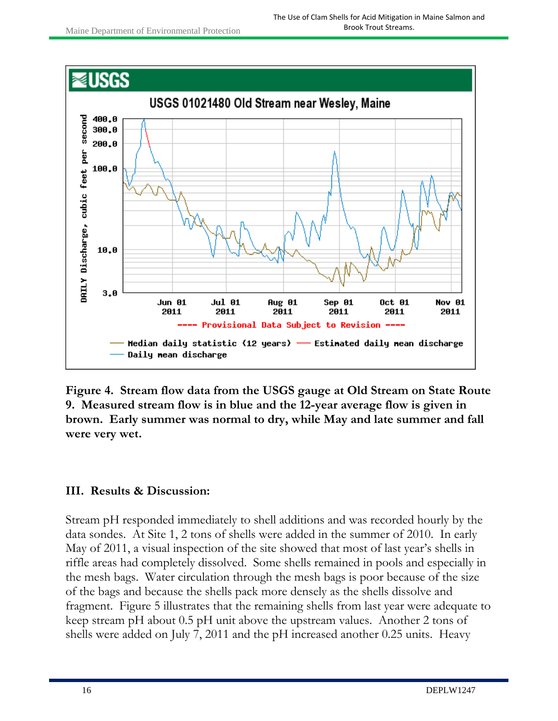

**Figure 4. Stream flow data from the USGS gauge at Old Stream on State Route 9. Measured stream flow is in blue and the 12-year average flow is given in brown. Early summer was normal to dry, while May and late summer and fall were very wet.** 

#### **III. Results & Discussion:**

Stream pH responded immediately to shell additions and was recorded hourly by the data sondes. At Site 1, 2 tons of shells were added in the summer of 2010. In early May of 2011, a visual inspection of the site showed that most of last year's shells in riffle areas had completely dissolved. Some shells remained in pools and especially in the mesh bags. Water circulation through the mesh bags is poor because of the size of the bags and because the shells pack more densely as the shells dissolve and fragment. Figure 5 illustrates that the remaining shells from last year were adequate to keep stream pH about 0.5 pH unit above the upstream values. Another 2 tons of shells were added on July 7, 2011 and the pH increased another 0.25 units. Heavy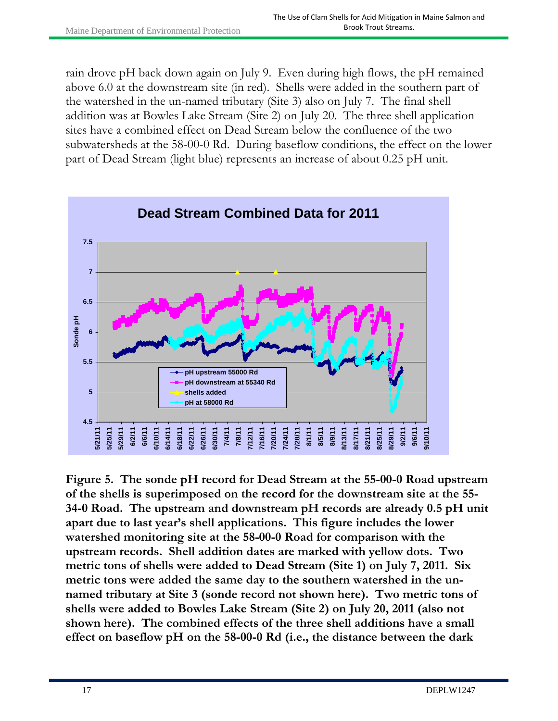rain drove pH back down again on July 9. Even during high flows, the pH remained above 6.0 at the downstream site (in red). Shells were added in the southern part of the watershed in the un-named tributary (Site 3) also on July 7. The final shell addition was at Bowles Lake Stream (Site 2) on July 20. The three shell application sites have a combined effect on Dead Stream below the confluence of the two subwatersheds at the 58-00-0 Rd. During baseflow conditions, the effect on the lower part of Dead Stream (light blue) represents an increase of about 0.25 pH unit.



**Figure 5. The sonde pH record for Dead Stream at the 55-00-0 Road upstream of the shells is superimposed on the record for the downstream site at the 55- 34-0 Road. The upstream and downstream pH records are already 0.5 pH unit apart due to last year's shell applications. This figure includes the lower watershed monitoring site at the 58-00-0 Road for comparison with the upstream records. Shell addition dates are marked with yellow dots. Two metric tons of shells were added to Dead Stream (Site 1) on July 7, 2011. Six metric tons were added the same day to the southern watershed in the unnamed tributary at Site 3 (sonde record not shown here). Two metric tons of shells were added to Bowles Lake Stream (Site 2) on July 20, 2011 (also not shown here). The combined effects of the three shell additions have a small effect on baseflow pH on the 58-00-0 Rd (i.e., the distance between the dark**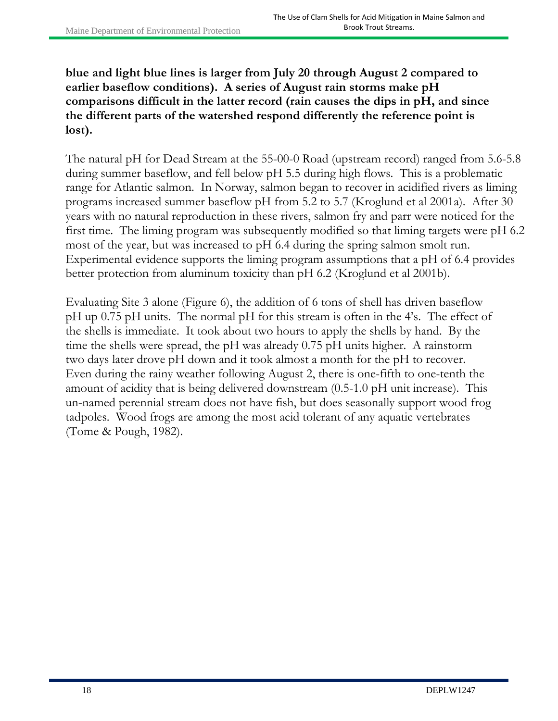**blue and light blue lines is larger from July 20 through August 2 compared to earlier baseflow conditions). A series of August rain storms make pH comparisons difficult in the latter record (rain causes the dips in pH, and since the different parts of the watershed respond differently the reference point is lost).**

The natural pH for Dead Stream at the 55-00-0 Road (upstream record) ranged from 5.6-5.8 during summer baseflow, and fell below pH 5.5 during high flows. This is a problematic range for Atlantic salmon. In Norway, salmon began to recover in acidified rivers as liming programs increased summer baseflow pH from 5.2 to 5.7 (Kroglund et al 2001a). After 30 years with no natural reproduction in these rivers, salmon fry and parr were noticed for the first time. The liming program was subsequently modified so that liming targets were pH 6.2 most of the year, but was increased to pH 6.4 during the spring salmon smolt run. Experimental evidence supports the liming program assumptions that a pH of 6.4 provides better protection from aluminum toxicity than pH 6.2 (Kroglund et al 2001b).

Evaluating Site 3 alone (Figure 6), the addition of 6 tons of shell has driven baseflow pH up 0.75 pH units. The normal pH for this stream is often in the 4's. The effect of the shells is immediate. It took about two hours to apply the shells by hand. By the time the shells were spread, the pH was already 0.75 pH units higher. A rainstorm two days later drove pH down and it took almost a month for the pH to recover. Even during the rainy weather following August 2, there is one-fifth to one-tenth the amount of acidity that is being delivered downstream (0.5-1.0 pH unit increase). This un-named perennial stream does not have fish, but does seasonally support wood frog tadpoles. Wood frogs are among the most acid tolerant of any aquatic vertebrates (Tome & Pough, 1982).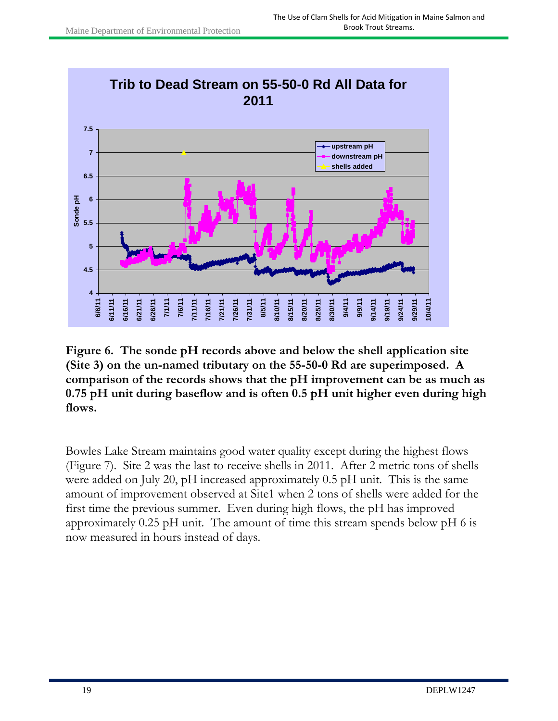

**Figure 6. The sonde pH records above and below the shell application site (Site 3) on the un-named tributary on the 55-50-0 Rd are superimposed. A comparison of the records shows that the pH improvement can be as much as 0.75 pH unit during baseflow and is often 0.5 pH unit higher even during high flows.** 

Bowles Lake Stream maintains good water quality except during the highest flows (Figure 7). Site 2 was the last to receive shells in 2011. After 2 metric tons of shells were added on July 20, pH increased approximately 0.5 pH unit. This is the same amount of improvement observed at Site1 when 2 tons of shells were added for the first time the previous summer. Even during high flows, the pH has improved approximately 0.25 pH unit. The amount of time this stream spends below pH 6 is now measured in hours instead of days.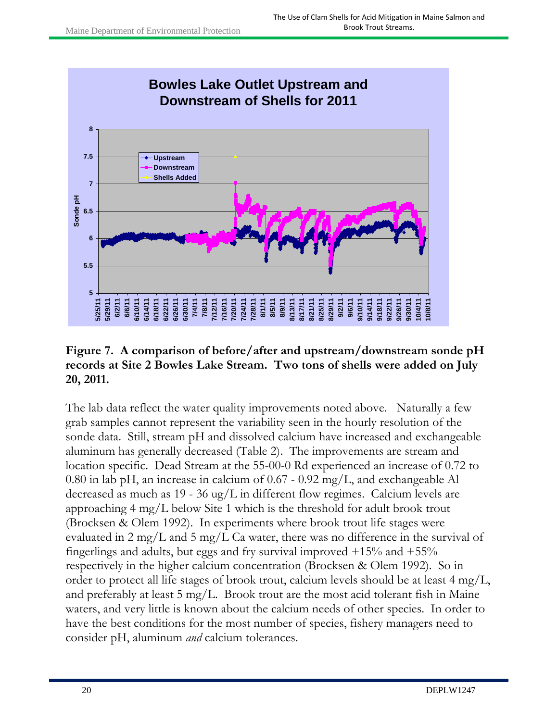

#### **Figure 7. A comparison of before/after and upstream/downstream sonde pH records at Site 2 Bowles Lake Stream. Two tons of shells were added on July 20, 2011.**

The lab data reflect the water quality improvements noted above. Naturally a few grab samples cannot represent the variability seen in the hourly resolution of the sonde data. Still, stream pH and dissolved calcium have increased and exchangeable aluminum has generally decreased (Table 2). The improvements are stream and location specific. Dead Stream at the 55-00-0 Rd experienced an increase of 0.72 to 0.80 in lab pH, an increase in calcium of 0.67 - 0.92 mg/L, and exchangeable Al decreased as much as 19 - 36 ug/L in different flow regimes. Calcium levels are approaching 4 mg/L below Site 1 which is the threshold for adult brook trout (Brocksen & Olem 1992). In experiments where brook trout life stages were evaluated in 2 mg/L and 5 mg/L Ca water, there was no difference in the survival of fingerlings and adults, but eggs and fry survival improved  $+15\%$  and  $+55\%$ respectively in the higher calcium concentration (Brocksen & Olem 1992). So in order to protect all life stages of brook trout, calcium levels should be at least 4 mg/L, and preferably at least 5 mg/L. Brook trout are the most acid tolerant fish in Maine waters, and very little is known about the calcium needs of other species. In order to have the best conditions for the most number of species, fishery managers need to consider pH, aluminum *and* calcium tolerances.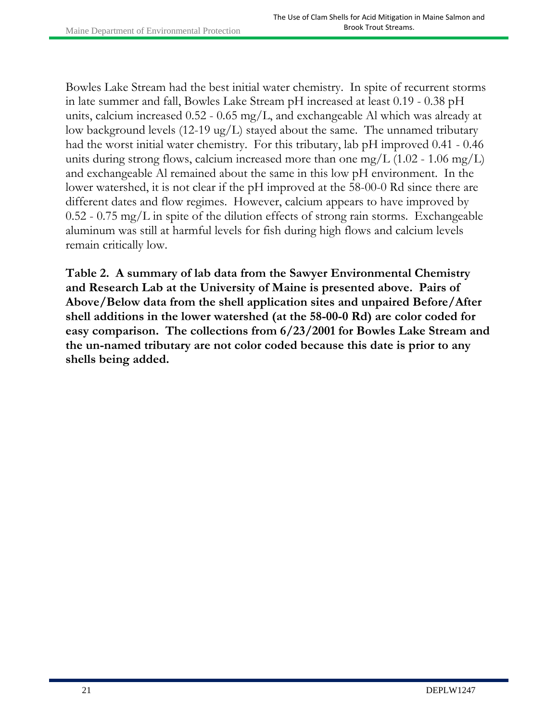Bowles Lake Stream had the best initial water chemistry. In spite of recurrent storms in late summer and fall, Bowles Lake Stream pH increased at least 0.19 - 0.38 pH units, calcium increased 0.52 - 0.65 mg/L, and exchangeable Al which was already at low background levels (12-19 ug/L) stayed about the same. The unnamed tributary had the worst initial water chemistry. For this tributary, lab pH improved 0.41 - 0.46 units during strong flows, calcium increased more than one mg/L  $(1.02 - 1.06 \text{ mg/L})$ and exchangeable Al remained about the same in this low pH environment. In the lower watershed, it is not clear if the pH improved at the 58-00-0 Rd since there are different dates and flow regimes. However, calcium appears to have improved by  $0.52 - 0.75$  mg/L in spite of the dilution effects of strong rain storms. Exchangeable aluminum was still at harmful levels for fish during high flows and calcium levels remain critically low.

**Table 2. A summary of lab data from the Sawyer Environmental Chemistry and Research Lab at the University of Maine is presented above. Pairs of Above/Below data from the shell application sites and unpaired Before/After shell additions in the lower watershed (at the 58-00-0 Rd) are color coded for easy comparison. The collections from 6/23/2001 for Bowles Lake Stream and the un-named tributary are not color coded because this date is prior to any shells being added.**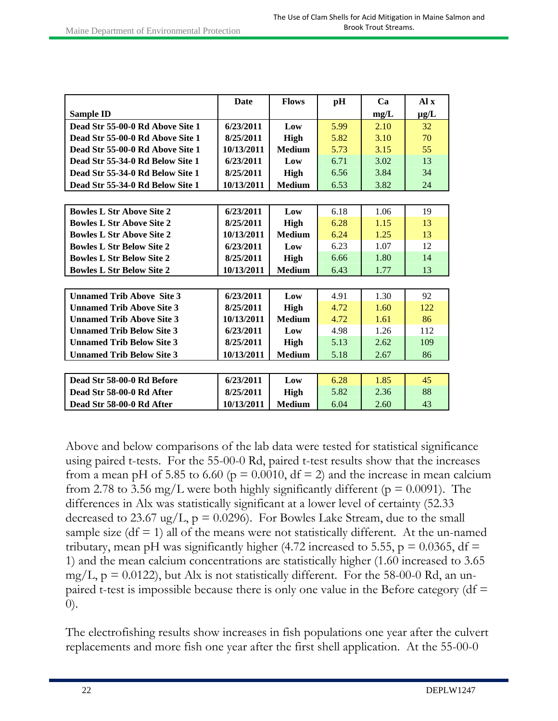|                                                | Date       | <b>Flows</b>  | pH   | Ca   | Al x      |
|------------------------------------------------|------------|---------------|------|------|-----------|
| <b>Sample ID</b>                               |            |               |      | mg/L | $\mu$ g/L |
| Dead Str 55-00-0 Rd Above Site 1               | 6/23/2011  | Low           | 5.99 | 2.10 | 32        |
| Dead Str 55-00-0 Rd Above Site 1               | 8/25/2011  | <b>High</b>   | 5.82 | 3.10 | 70        |
| Dead Str 55-00-0 Rd Above Site 1               | 10/13/2011 | <b>Medium</b> | 5.73 | 3.15 | 55        |
| Dead Str 55-34-0 Rd Below Site 1               | 6/23/2011  | Low           | 6.71 | 3.02 | 13        |
| Dead Str 55-34-0 Rd Below Site 1               | 8/25/2011  | <b>High</b>   | 6.56 | 3.84 | 34        |
| Dead Str 55-34-0 Rd Below Site 1               | 10/13/2011 | <b>Medium</b> | 6.53 | 3.82 | 24        |
|                                                |            |               |      |      |           |
| <b>Bowles L Str Above Site 2</b>               | 6/23/2011  | Low           | 6.18 | 1.06 | 19        |
| <b>Bowles L Str Above Site 2</b>               | 8/25/2011  | <b>High</b>   | 6.28 | 1.15 | 13        |
| <b>Bowles L Str Above Site 2</b>               | 10/13/2011 | <b>Medium</b> | 6.24 | 1.25 | 13        |
| <b>Bowles L Str Below Site 2</b>               | 6/23/2011  | Low           | 6.23 | 1.07 | 12        |
| <b>Bowles L Str Below Site 2</b>               | 8/25/2011  | High          | 6.66 | 1.80 | 14        |
| <b>Bowles L Str Below Site 2</b>               | 10/13/2011 | <b>Medium</b> | 6.43 | 1.77 | 13        |
|                                                |            |               |      |      |           |
| <b>Unnamed Trib Above Site 3</b>               | 6/23/2011  | Low           | 4.91 | 1.30 | 92        |
| <b>Unnamed Trib Above Site 3</b>               | 8/25/2011  | High          | 4.72 | 1.60 | 122       |
| <b>Unnamed Trib Above Site 3</b>               | 10/13/2011 | <b>Medium</b> | 4.72 | 1.61 | 86        |
| <b>Unnamed Trib Below Site 3</b>               | 6/23/2011  | Low           | 4.98 | 1.26 | 112       |
| <b>Unnamed Trib Below Site 3</b>               | 8/25/2011  | High          | 5.13 | 2.62 | 109       |
| 10/13/2011<br><b>Unnamed Trib Below Site 3</b> |            | <b>Medium</b> | 5.18 | 2.67 | 86        |
|                                                |            |               |      |      |           |
| Dead Str 58-00-0 Rd Before                     | 6/23/2011  | Low           | 6.28 | 1.85 | 45        |
| Dead Str 58-00-0 Rd After                      | 8/25/2011  | High          | 5.82 | 2.36 | 88        |
| Dead Str 58-00-0 Rd After                      | 10/13/2011 | <b>Medium</b> | 6.04 | 2.60 | 43        |

Above and below comparisons of the lab data were tested for statistical significance using paired t-tests. For the 55-00-0 Rd, paired t-test results show that the increases from a mean pH of 5.85 to 6.60 ( $p = 0.0010$ , df = 2) and the increase in mean calcium from 2.78 to 3.56 mg/L were both highly significantly different ( $p = 0.0091$ ). The differences in Alx was statistically significant at a lower level of certainty (52.33 decreased to 23.67 ug/L,  $p = 0.0296$ . For Bowles Lake Stream, due to the small sample size  $(df = 1)$  all of the means were not statistically different. At the un-named tributary, mean pH was significantly higher (4.72 increased to 5.55,  $p = 0.0365$ , df = 1) and the mean calcium concentrations are statistically higher (1.60 increased to 3.65 mg/L,  $p = 0.0122$ ), but Alx is not statistically different. For the 58-00-0 Rd, an unpaired t-test is impossible because there is only one value in the Before category ( $df =$ 0).

The electrofishing results show increases in fish populations one year after the culvert replacements and more fish one year after the first shell application. At the 55-00-0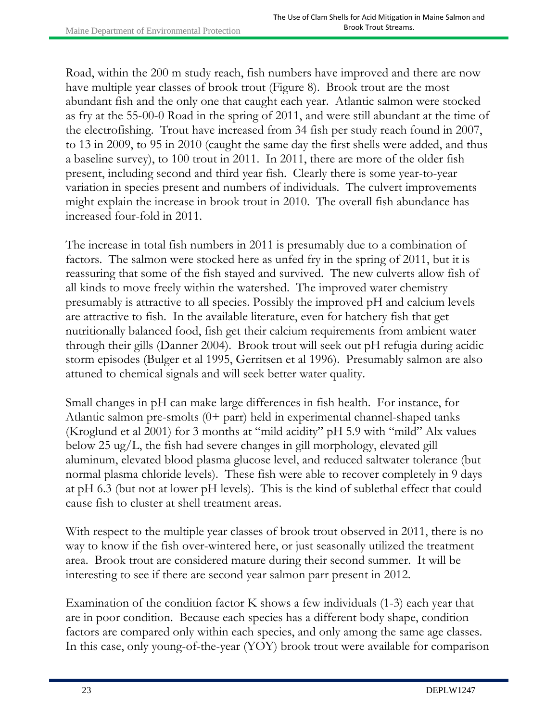Road, within the 200 m study reach, fish numbers have improved and there are now have multiple year classes of brook trout (Figure 8). Brook trout are the most abundant fish and the only one that caught each year. Atlantic salmon were stocked as fry at the 55-00-0 Road in the spring of 2011, and were still abundant at the time of the electrofishing. Trout have increased from 34 fish per study reach found in 2007, to 13 in 2009, to 95 in 2010 (caught the same day the first shells were added, and thus a baseline survey), to 100 trout in 2011. In 2011, there are more of the older fish present, including second and third year fish. Clearly there is some year-to-year variation in species present and numbers of individuals. The culvert improvements might explain the increase in brook trout in 2010. The overall fish abundance has increased four-fold in 2011.

The increase in total fish numbers in 2011 is presumably due to a combination of factors. The salmon were stocked here as unfed fry in the spring of 2011, but it is reassuring that some of the fish stayed and survived. The new culverts allow fish of all kinds to move freely within the watershed. The improved water chemistry presumably is attractive to all species. Possibly the improved pH and calcium levels are attractive to fish. In the available literature, even for hatchery fish that get nutritionally balanced food, fish get their calcium requirements from ambient water through their gills (Danner 2004). Brook trout will seek out pH refugia during acidic storm episodes (Bulger et al 1995, Gerritsen et al 1996). Presumably salmon are also attuned to chemical signals and will seek better water quality.

Small changes in pH can make large differences in fish health. For instance, for Atlantic salmon pre-smolts (0+ parr) held in experimental channel-shaped tanks (Kroglund et al 2001) for 3 months at "mild acidity" pH 5.9 with "mild" Alx values below 25 ug/L, the fish had severe changes in gill morphology, elevated gill aluminum, elevated blood plasma glucose level, and reduced saltwater tolerance (but normal plasma chloride levels). These fish were able to recover completely in 9 days at pH 6.3 (but not at lower pH levels). This is the kind of sublethal effect that could cause fish to cluster at shell treatment areas.

With respect to the multiple year classes of brook trout observed in 2011, there is no way to know if the fish over-wintered here, or just seasonally utilized the treatment area. Brook trout are considered mature during their second summer. It will be interesting to see if there are second year salmon parr present in 2012.

Examination of the condition factor K shows a few individuals (1-3) each year that are in poor condition. Because each species has a different body shape, condition factors are compared only within each species, and only among the same age classes. In this case, only young-of-the-year (YOY) brook trout were available for comparison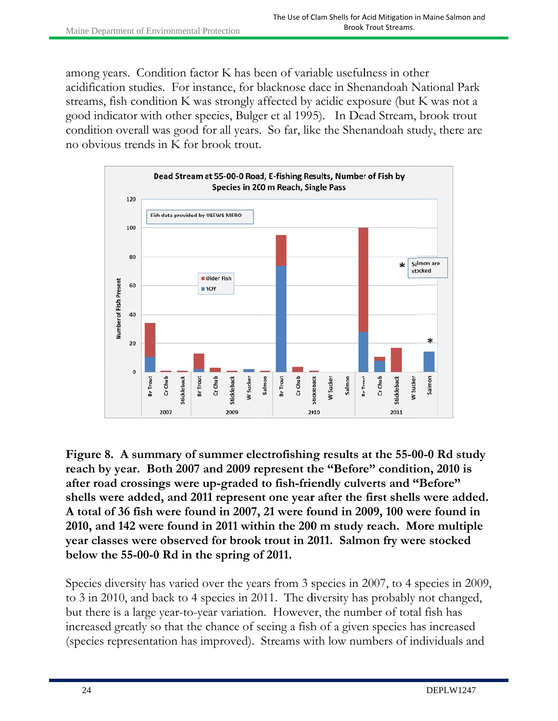among years. Condition factor K has been of variable usefulness in other acidification studies. For instance, for blacknose dace in Shenandoah National Park streams, fish condition K was strongly affected by acidic exposure (but K was not a good indicator with other species, Bulger et al 1995). In Dead Stream, brook trout condition overall was good for all years. So far, like the Shenandoah study, there are no obvious trends in K for brook trout.



Figure 8. A summary of summer electrofishing results at the 55-00-0 Rd study **reach by year.** Both 2007 and 2009 represent the "Before" condition, 2010 is after road crossings were up-graded to fish-friendly culverts and "Before" reach by year. Both 2007 and 2009 represent the "Before" condition, 2010 is<br>after road crossings were up-graded to fish-friendly culverts and "Before"<br>shells were added, and 2011 represent one year after the first shells w **A** total of 36 fish were found in 2007, 21 were found in 2009, 100 were found in 2010, and 142 were found in 2011 within the 200 m study reach. More multiple **year classes were observed for brook trout in 2011. Salmon fry were stocked** below the 55-00-0 Rd in the spring of 2011.

Species diversity has varied over the years from 3 species in 2007, to 4 species in 2009, to 3 in 2010, and back to 4 species in 2011. The diversity has probably not changed, but there is a large year-to-year variation. However, the number of total fish has increased greatly so that the chance of seeing a fish of a given species has increased (species representation has improved). Streams with low numbers of individuals and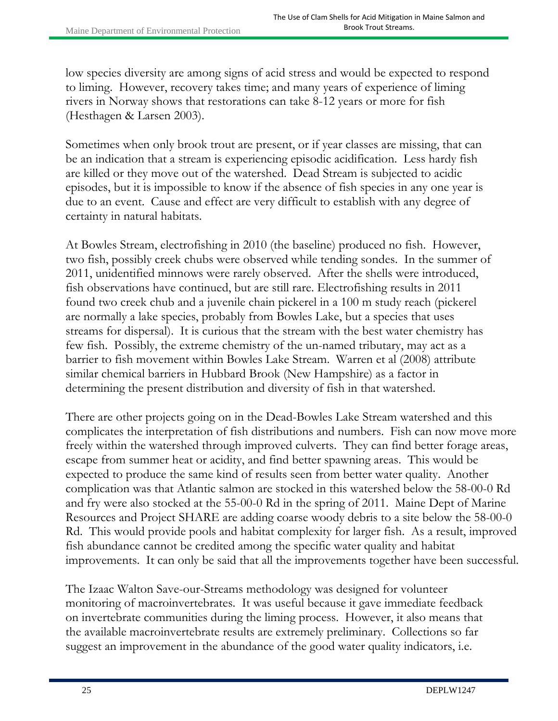low species diversity are among signs of acid stress and would be expected to respond to liming. However, recovery takes time; and many years of experience of liming rivers in Norway shows that restorations can take 8-12 years or more for fish (Hesthagen & Larsen 2003).

Sometimes when only brook trout are present, or if year classes are missing, that can be an indication that a stream is experiencing episodic acidification. Less hardy fish are killed or they move out of the watershed. Dead Stream is subjected to acidic episodes, but it is impossible to know if the absence of fish species in any one year is due to an event. Cause and effect are very difficult to establish with any degree of certainty in natural habitats.

At Bowles Stream, electrofishing in 2010 (the baseline) produced no fish. However, two fish, possibly creek chubs were observed while tending sondes. In the summer of 2011, unidentified minnows were rarely observed. After the shells were introduced, fish observations have continued, but are still rare. Electrofishing results in 2011 found two creek chub and a juvenile chain pickerel in a 100 m study reach (pickerel are normally a lake species, probably from Bowles Lake, but a species that uses streams for dispersal). It is curious that the stream with the best water chemistry has few fish. Possibly, the extreme chemistry of the un-named tributary, may act as a barrier to fish movement within Bowles Lake Stream. Warren et al (2008) attribute similar chemical barriers in Hubbard Brook (New Hampshire) as a factor in determining the present distribution and diversity of fish in that watershed.

There are other projects going on in the Dead-Bowles Lake Stream watershed and this complicates the interpretation of fish distributions and numbers. Fish can now move more freely within the watershed through improved culverts. They can find better forage areas, escape from summer heat or acidity, and find better spawning areas. This would be expected to produce the same kind of results seen from better water quality. Another complication was that Atlantic salmon are stocked in this watershed below the 58-00-0 Rd and fry were also stocked at the 55-00-0 Rd in the spring of 2011. Maine Dept of Marine Resources and Project SHARE are adding coarse woody debris to a site below the 58-00-0 Rd. This would provide pools and habitat complexity for larger fish. As a result, improved fish abundance cannot be credited among the specific water quality and habitat improvements. It can only be said that all the improvements together have been successful.

The Izaac Walton Save-our-Streams methodology was designed for volunteer monitoring of macroinvertebrates. It was useful because it gave immediate feedback on invertebrate communities during the liming process. However, it also means that the available macroinvertebrate results are extremely preliminary. Collections so far suggest an improvement in the abundance of the good water quality indicators, i.e.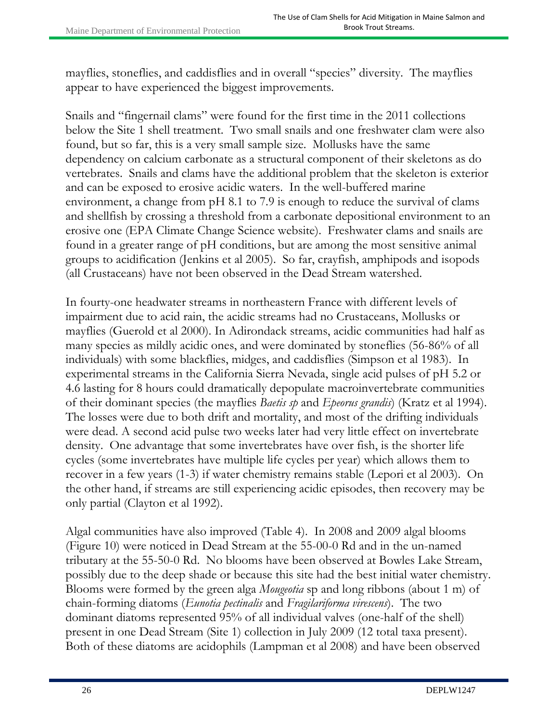mayflies, stoneflies, and caddisflies and in overall "species" diversity. The mayflies appear to have experienced the biggest improvements.

Snails and "fingernail clams" were found for the first time in the 2011 collections below the Site 1 shell treatment. Two small snails and one freshwater clam were also found, but so far, this is a very small sample size. Mollusks have the same dependency on calcium carbonate as a structural component of their skeletons as do vertebrates. Snails and clams have the additional problem that the skeleton is exterior and can be exposed to erosive acidic waters. In the well-buffered marine environment, a change from pH 8.1 to 7.9 is enough to reduce the survival of clams and shellfish by crossing a threshold from a carbonate depositional environment to an erosive one (EPA Climate Change Science website). Freshwater clams and snails are found in a greater range of pH conditions, but are among the most sensitive animal groups to acidification (Jenkins et al 2005). So far, crayfish, amphipods and isopods (all Crustaceans) have not been observed in the Dead Stream watershed.

In fourty-one headwater streams in northeastern France with different levels of impairment due to acid rain, the acidic streams had no Crustaceans, Mollusks or mayflies (Guerold et al 2000). In Adirondack streams, acidic communities had half as many species as mildly acidic ones, and were dominated by stoneflies (56-86% of all individuals) with some blackflies, midges, and caddisflies (Simpson et al 1983). In experimental streams in the California Sierra Nevada, single acid pulses of pH 5.2 or 4.6 lasting for 8 hours could dramatically depopulate macroinvertebrate communities of their dominant species (the mayflies *Baetis sp* and *Epeorus grandis*) (Kratz et al 1994). The losses were due to both drift and mortality, and most of the drifting individuals were dead. A second acid pulse two weeks later had very little effect on invertebrate density. One advantage that some invertebrates have over fish, is the shorter life cycles (some invertebrates have multiple life cycles per year) which allows them to recover in a few years (1-3) if water chemistry remains stable (Lepori et al 2003). On the other hand, if streams are still experiencing acidic episodes, then recovery may be only partial (Clayton et al 1992).

Algal communities have also improved (Table 4). In 2008 and 2009 algal blooms (Figure 10) were noticed in Dead Stream at the 55-00-0 Rd and in the un-named tributary at the 55-50-0 Rd. No blooms have been observed at Bowles Lake Stream, possibly due to the deep shade or because this site had the best initial water chemistry. Blooms were formed by the green alga *Mougeotia* sp and long ribbons (about 1 m) of chain-forming diatoms (*Eunotia pectinalis* and *Fragilariforma virescens*). The two dominant diatoms represented 95% of all individual valves (one-half of the shell) present in one Dead Stream (Site 1) collection in July 2009 (12 total taxa present). Both of these diatoms are acidophils (Lampman et al 2008) and have been observed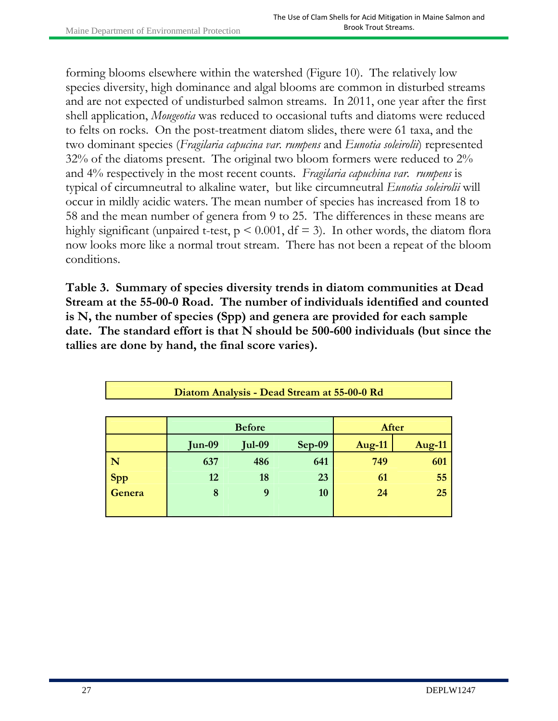forming blooms elsewhere within the watershed (Figure 10). The relatively low species diversity, high dominance and algal blooms are common in disturbed streams and are not expected of undisturbed salmon streams. In 2011, one year after the first shell application, *Mougeotia* was reduced to occasional tufts and diatoms were reduced to felts on rocks. On the post-treatment diatom slides, there were 61 taxa, and the two dominant species (*Fragilaria capucina var. rumpens* and *Eunotia soleirolii*) represented 32% of the diatoms present. The original two bloom formers were reduced to 2% and 4% respectively in the most recent counts. *Fragilaria capuchina var. rumpens* is typical of circumneutral to alkaline water, but like circumneutral *Eunotia soleirolii* will occur in mildly acidic waters. The mean number of species has increased from 18 to 58 and the mean number of genera from 9 to 25. The differences in these means are highly significant (unpaired t-test,  $p \le 0.001$ ,  $df = 3$ ). In other words, the diatom flora now looks more like a normal trout stream. There has not been a repeat of the bloom conditions.

**Table 3. Summary of species diversity trends in diatom communities at Dead Stream at the 55-00-0 Road. The number of individuals identified and counted is N, the number of species (Spp) and genera are provided for each sample date. The standard effort is that N should be 500-600 individuals (but since the tallies are done by hand, the final score varies).** 

| Diatom Analysis - Dead Stream at 55-00-0 Rd |               |               |          |               |        |  |  |
|---------------------------------------------|---------------|---------------|----------|---------------|--------|--|--|
|                                             | <b>Before</b> |               |          | After         |        |  |  |
|                                             | $Jun-09$      | <b>Jul-09</b> | $Sep-09$ | <b>Aug-11</b> | Aug-11 |  |  |
| N                                           | 637           | 486           | 641      | 749           | 601    |  |  |
| Spp                                         | 12            | 18            | 23       | 61            | 55     |  |  |
| Genera                                      | 8             | 9             | 10       | 24            | 25     |  |  |
|                                             |               |               |          |               |        |  |  |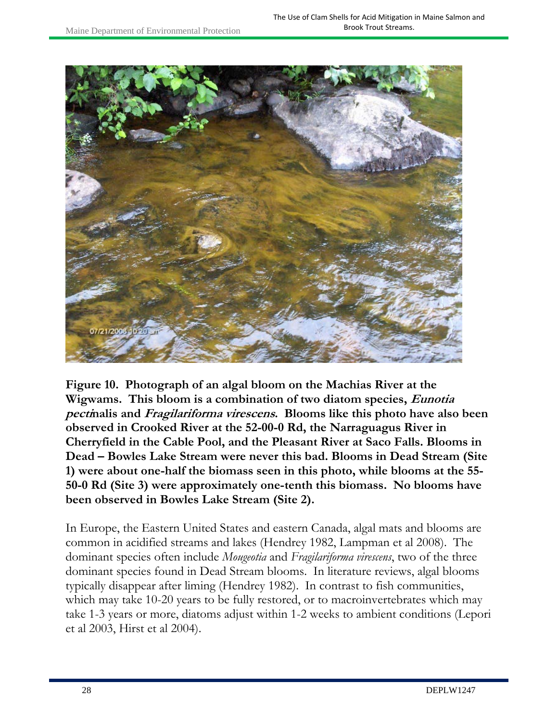

**Figure 10. Photograph of an algal bloom on the Machias River at the Wigwams. This bloom is a combination of two diatom species, Eunotia pectinalis and Fragilariforma virescens. Blooms like this photo have also been observed in Crooked River at the 52-00-0 Rd, the Narraguagus River in Cherryfield in the Cable Pool, and the Pleasant River at Saco Falls. Blooms in Dead – Bowles Lake Stream were never this bad. Blooms in Dead Stream (Site 1) were about one-half the biomass seen in this photo, while blooms at the 55- 50-0 Rd (Site 3) were approximately one-tenth this biomass. No blooms have been observed in Bowles Lake Stream (Site 2).** 

In Europe, the Eastern United States and eastern Canada, algal mats and blooms are common in acidified streams and lakes (Hendrey 1982, Lampman et al 2008). The dominant species often include *Mougeotia* and *Fragilariforma virescens*, two of the three dominant species found in Dead Stream blooms. In literature reviews, algal blooms typically disappear after liming (Hendrey 1982). In contrast to fish communities, which may take 10-20 years to be fully restored, or to macroinvertebrates which may take 1-3 years or more, diatoms adjust within 1-2 weeks to ambient conditions (Lepori et al 2003, Hirst et al 2004).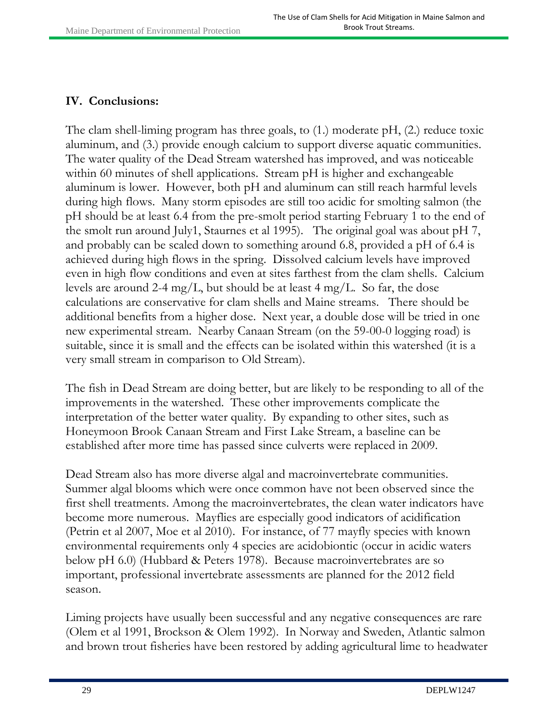#### **IV. Conclusions:**

The clam shell-liming program has three goals, to (1.) moderate pH, (2.) reduce toxic aluminum, and (3.) provide enough calcium to support diverse aquatic communities. The water quality of the Dead Stream watershed has improved, and was noticeable within 60 minutes of shell applications. Stream pH is higher and exchangeable aluminum is lower. However, both pH and aluminum can still reach harmful levels during high flows. Many storm episodes are still too acidic for smolting salmon (the pH should be at least 6.4 from the pre-smolt period starting February 1 to the end of the smolt run around July1, Staurnes et al 1995). The original goal was about pH 7, and probably can be scaled down to something around 6.8, provided a pH of 6.4 is achieved during high flows in the spring. Dissolved calcium levels have improved even in high flow conditions and even at sites farthest from the clam shells. Calcium levels are around 2-4 mg/L, but should be at least 4 mg/L. So far, the dose calculations are conservative for clam shells and Maine streams. There should be additional benefits from a higher dose. Next year, a double dose will be tried in one new experimental stream. Nearby Canaan Stream (on the 59-00-0 logging road) is suitable, since it is small and the effects can be isolated within this watershed (it is a very small stream in comparison to Old Stream).

The fish in Dead Stream are doing better, but are likely to be responding to all of the improvements in the watershed. These other improvements complicate the interpretation of the better water quality. By expanding to other sites, such as Honeymoon Brook Canaan Stream and First Lake Stream, a baseline can be established after more time has passed since culverts were replaced in 2009.

Dead Stream also has more diverse algal and macroinvertebrate communities. Summer algal blooms which were once common have not been observed since the first shell treatments. Among the macroinvertebrates, the clean water indicators have become more numerous. Mayflies are especially good indicators of acidification (Petrin et al 2007, Moe et al 2010). For instance, of 77 mayfly species with known environmental requirements only 4 species are acidobiontic (occur in acidic waters below pH 6.0) (Hubbard & Peters 1978). Because macroinvertebrates are so important, professional invertebrate assessments are planned for the 2012 field season.

Liming projects have usually been successful and any negative consequences are rare (Olem et al 1991, Brockson & Olem 1992). In Norway and Sweden, Atlantic salmon and brown trout fisheries have been restored by adding agricultural lime to headwater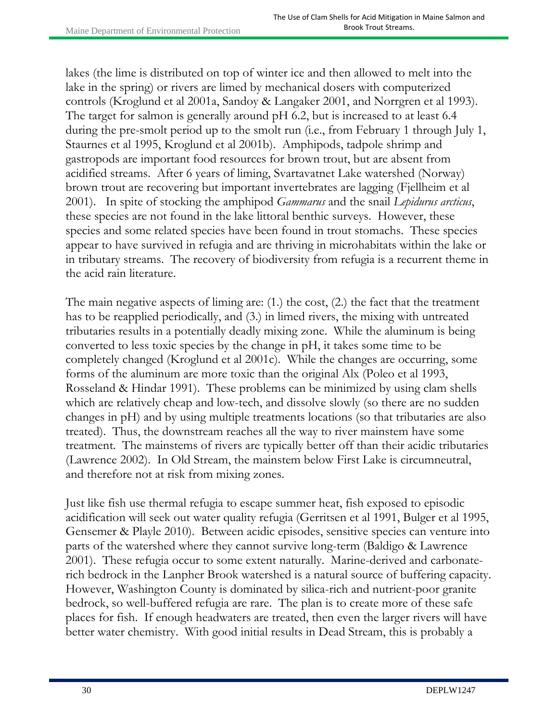lakes (the lime is distributed on top of winter ice and then allowed to melt into the lake in the spring) or rivers are limed by mechanical dosers with computerized controls (Kroglund et al 2001a, Sandoy & Langaker 2001, and Norrgren et al 1993). The target for salmon is generally around pH 6.2, but is increased to at least 6.4 during the pre-smolt period up to the smolt run (i.e., from February 1 through July 1, Staurnes et al 1995, Kroglund et al 2001b). Amphipods, tadpole shrimp and gastropods are important food resources for brown trout, but are absent from acidified streams. After 6 years of liming, Svartavatnet Lake watershed (Norway) brown trout are recovering but important invertebrates are lagging (Fjellheim et al 2001). In spite of stocking the amphipod *Gammarus* and the snail *Lepidurus arcticus*, these species are not found in the lake littoral benthic surveys. However, these species and some related species have been found in trout stomachs. These species appear to have survived in refugia and are thriving in microhabitats within the lake or in tributary streams. The recovery of biodiversity from refugia is a recurrent theme in the acid rain literature.

The main negative aspects of liming are: (1.) the cost, (2.) the fact that the treatment has to be reapplied periodically, and (3.) in limed rivers, the mixing with untreated tributaries results in a potentially deadly mixing zone. While the aluminum is being converted to less toxic species by the change in pH, it takes some time to be completely changed (Kroglund et al 2001c). While the changes are occurring, some forms of the aluminum are more toxic than the original Alx (Poleo et al 1993, Rosseland & Hindar 1991). These problems can be minimized by using clam shells which are relatively cheap and low-tech, and dissolve slowly (so there are no sudden changes in pH) and by using multiple treatments locations (so that tributaries are also treated). Thus, the downstream reaches all the way to river mainstem have some treatment. The mainstems of rivers are typically better off than their acidic tributaries (Lawrence 2002). In Old Stream, the mainstem below First Lake is circumneutral, and therefore not at risk from mixing zones.

Just like fish use thermal refugia to escape summer heat, fish exposed to episodic acidification will seek out water quality refugia (Gerritsen et al 1991, Bulger et al 1995, Gensemer & Playle 2010). Between acidic episodes, sensitive species can venture into parts of the watershed where they cannot survive long-term (Baldigo & Lawrence 2001). These refugia occur to some extent naturally. Marine-derived and carbonaterich bedrock in the Lanpher Brook watershed is a natural source of buffering capacity. However, Washington County is dominated by silica-rich and nutrient-poor granite bedrock, so well-buffered refugia are rare. The plan is to create more of these safe places for fish. If enough headwaters are treated, then even the larger rivers will have better water chemistry. With good initial results in Dead Stream, this is probably a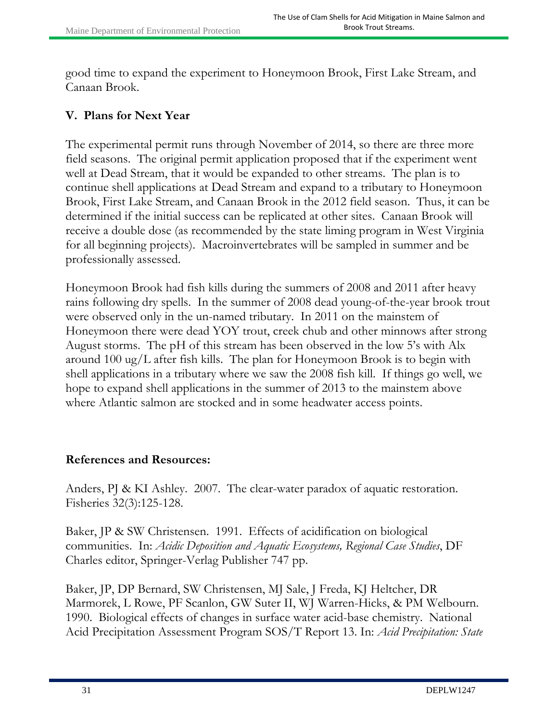good time to expand the experiment to Honeymoon Brook, First Lake Stream, and Canaan Brook.

### **V. Plans for Next Year**

The experimental permit runs through November of 2014, so there are three more field seasons. The original permit application proposed that if the experiment went well at Dead Stream, that it would be expanded to other streams. The plan is to continue shell applications at Dead Stream and expand to a tributary to Honeymoon Brook, First Lake Stream, and Canaan Brook in the 2012 field season. Thus, it can be determined if the initial success can be replicated at other sites. Canaan Brook will receive a double dose (as recommended by the state liming program in West Virginia for all beginning projects). Macroinvertebrates will be sampled in summer and be professionally assessed.

Honeymoon Brook had fish kills during the summers of 2008 and 2011 after heavy rains following dry spells. In the summer of 2008 dead young-of-the-year brook trout were observed only in the un-named tributary. In 2011 on the mainstem of Honeymoon there were dead YOY trout, creek chub and other minnows after strong August storms. The pH of this stream has been observed in the low 5's with Alx around 100 ug/L after fish kills. The plan for Honeymoon Brook is to begin with shell applications in a tributary where we saw the 2008 fish kill. If things go well, we hope to expand shell applications in the summer of 2013 to the mainstem above where Atlantic salmon are stocked and in some headwater access points.

#### **References and Resources:**

Anders, PJ & KI Ashley. 2007. The clear-water paradox of aquatic restoration. Fisheries 32(3):125-128.

Baker, JP & SW Christensen. 1991. Effects of acidification on biological communities. In: *Acidic Deposition and Aquatic Ecosystems, Regional Case Studies*, DF Charles editor, Springer-Verlag Publisher 747 pp.

Baker, JP, DP Bernard, SW Christensen, MJ Sale, J Freda, KJ Heltcher, DR Marmorek, L Rowe, PF Scanlon, GW Suter II, WJ Warren-Hicks, & PM Welbourn. 1990. Biological effects of changes in surface water acid-base chemistry. National Acid Precipitation Assessment Program SOS/T Report 13. In: *Acid Precipitation: State*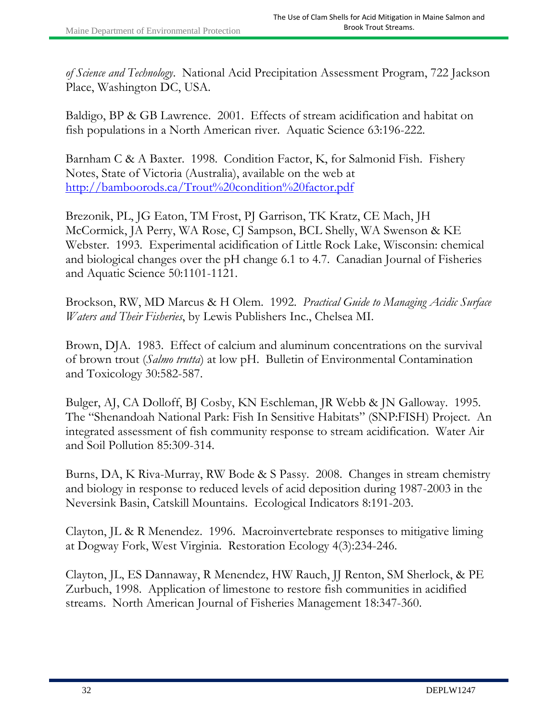*of Science and Technology*. National Acid Precipitation Assessment Program, 722 Jackson Place, Washington DC, USA.

Baldigo, BP & GB Lawrence. 2001. Effects of stream acidification and habitat on fish populations in a North American river. Aquatic Science 63:196-222.

Barnham C & A Baxter. 1998. Condition Factor, K, for Salmonid Fish. Fishery Notes, State of Victoria (Australia), available on the web at http://bamboorods.ca/Trout%20condition%20factor.pdf

Brezonik, PL, JG Eaton, TM Frost, PJ Garrison, TK Kratz, CE Mach, JH McCormick, JA Perry, WA Rose, CJ Sampson, BCL Shelly, WA Swenson & KE Webster. 1993. Experimental acidification of Little Rock Lake, Wisconsin: chemical and biological changes over the pH change 6.1 to 4.7. Canadian Journal of Fisheries and Aquatic Science 50:1101-1121.

Brockson, RW, MD Marcus & H Olem. 1992. *Practical Guide to Managing Acidic Surface Waters and Their Fisheries*, by Lewis Publishers Inc., Chelsea MI.

Brown, DJA. 1983. Effect of calcium and aluminum concentrations on the survival of brown trout (*Salmo trutta*) at low pH. Bulletin of Environmental Contamination and Toxicology 30:582-587.

Bulger, AJ, CA Dolloff, BJ Cosby, KN Eschleman, JR Webb & JN Galloway. 1995. The "Shenandoah National Park: Fish In Sensitive Habitats" (SNP:FISH) Project. An integrated assessment of fish community response to stream acidification. Water Air and Soil Pollution 85:309-314.

Burns, DA, K Riva-Murray, RW Bode & S Passy. 2008. Changes in stream chemistry and biology in response to reduced levels of acid deposition during 1987-2003 in the Neversink Basin, Catskill Mountains. Ecological Indicators 8:191-203.

Clayton, JL & R Menendez. 1996. Macroinvertebrate responses to mitigative liming at Dogway Fork, West Virginia. Restoration Ecology 4(3):234-246.

Clayton, JL, ES Dannaway, R Menendez, HW Rauch, JJ Renton, SM Sherlock, & PE Zurbuch, 1998. Application of limestone to restore fish communities in acidified streams. North American Journal of Fisheries Management 18:347-360.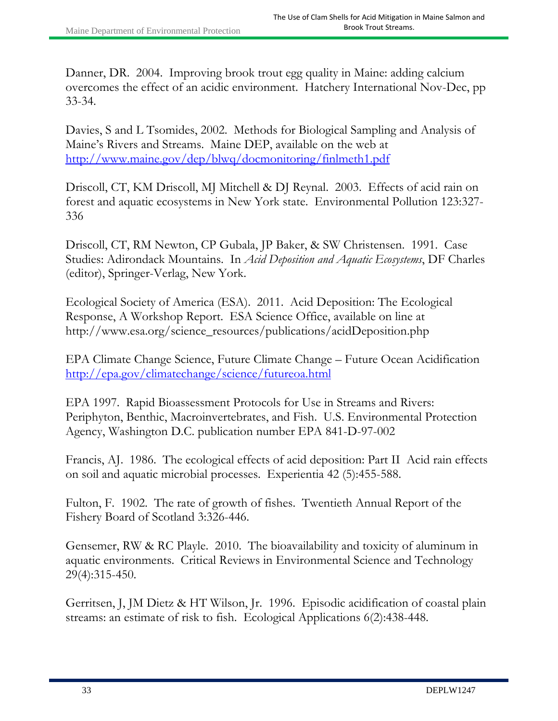Danner, DR. 2004. Improving brook trout egg quality in Maine: adding calcium overcomes the effect of an acidic environment. Hatchery International Nov-Dec, pp 33-34.

Davies, S and L Tsomides, 2002. Methods for Biological Sampling and Analysis of Maine's Rivers and Streams. Maine DEP, available on the web at http://www.maine.gov/dep/blwq/docmonitoring/finlmeth1.pdf

Driscoll, CT, KM Driscoll, MJ Mitchell & DJ Reynal. 2003. Effects of acid rain on forest and aquatic ecosystems in New York state. Environmental Pollution 123:327- 336

Driscoll, CT, RM Newton, CP Gubala, JP Baker, & SW Christensen. 1991. Case Studies: Adirondack Mountains. In *Acid Deposition and Aquatic Ecosystems*, DF Charles (editor), Springer-Verlag, New York.

Ecological Society of America (ESA). 2011. Acid Deposition: The Ecological Response, A Workshop Report. ESA Science Office, available on line at http://www.esa.org/science\_resources/publications/acidDeposition.php

EPA Climate Change Science, Future Climate Change – Future Ocean Acidification http://epa.gov/climatechange/science/futureoa.html

EPA 1997. Rapid Bioassessment Protocols for Use in Streams and Rivers: Periphyton, Benthic, Macroinvertebrates, and Fish. U.S. Environmental Protection Agency, Washington D.C. publication number EPA 841-D-97-002

Francis, AJ. 1986. The ecological effects of acid deposition: Part II Acid rain effects on soil and aquatic microbial processes. Experientia 42 (5):455-588.

Fulton, F. 1902. The rate of growth of fishes. Twentieth Annual Report of the Fishery Board of Scotland 3:326-446.

Gensemer, RW & RC Playle. 2010. The bioavailability and toxicity of aluminum in aquatic environments. Critical Reviews in Environmental Science and Technology 29(4):315-450.

Gerritsen, J, JM Dietz & HT Wilson, Jr. 1996. Episodic acidification of coastal plain streams: an estimate of risk to fish. Ecological Applications 6(2):438-448.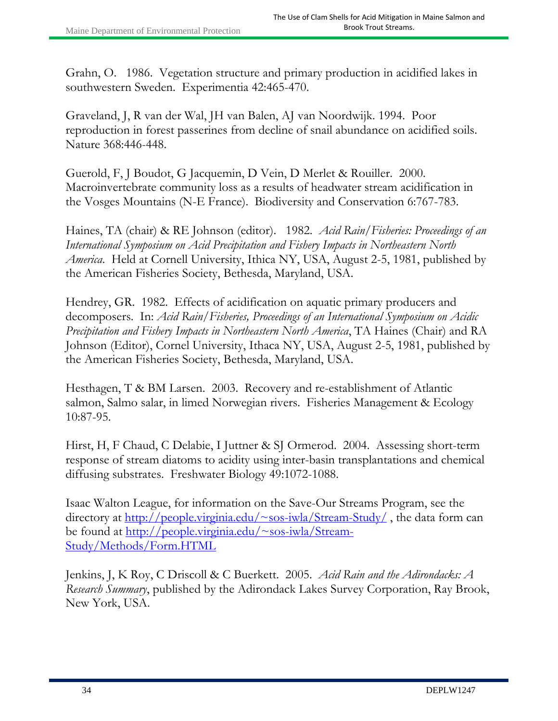Grahn, O. 1986. Vegetation structure and primary production in acidified lakes in southwestern Sweden. Experimentia 42:465-470.

Graveland, J, R van der Wal, JH van Balen, AJ van Noordwijk. 1994. Poor reproduction in forest passerines from decline of snail abundance on acidified soils. Nature 368:446-448.

Guerold, F, J Boudot, G Jacquemin, D Vein, D Merlet & Rouiller. 2000. Macroinvertebrate community loss as a results of headwater stream acidification in the Vosges Mountains (N-E France). Biodiversity and Conservation 6:767-783.

Haines, TA (chair) & RE Johnson (editor). 1982. *Acid Rain/Fisheries: Proceedings of an International Symposium on Acid Precipitation and Fishery Impacts in Northeastern North America*. Held at Cornell University, Ithica NY, USA, August 2-5, 1981, published by the American Fisheries Society, Bethesda, Maryland, USA.

Hendrey, GR. 1982. Effects of acidification on aquatic primary producers and decomposers. In: *Acid Rain/Fisheries, Proceedings of an International Symposium on Acidic Precipitation and Fishery Impacts in Northeastern North America*, TA Haines (Chair) and RA Johnson (Editor), Cornel University, Ithaca NY, USA, August 2-5, 1981, published by the American Fisheries Society, Bethesda, Maryland, USA.

Hesthagen, T & BM Larsen. 2003. Recovery and re-establishment of Atlantic salmon, Salmo salar, in limed Norwegian rivers. Fisheries Management & Ecology 10:87-95.

Hirst, H, F Chaud, C Delabie, I Juttner & SJ Ormerod. 2004. Assessing short-term response of stream diatoms to acidity using inter-basin transplantations and chemical diffusing substrates. Freshwater Biology 49:1072-1088.

Isaac Walton League, for information on the Save-Our Streams Program, see the directory at <u>http://people.virginia.edu/~sos-iwla/Stream-Study/</u>, the data form can be found at <u>http://people.virginia.edu/~sos-iwla/Stream-</u> Study/Methods/Form.HTML

Jenkins, J, K Roy, C Driscoll & C Buerkett. 2005. *Acid Rain and the Adirondacks: A Research Summary*, published by the Adirondack Lakes Survey Corporation, Ray Brook, New York, USA.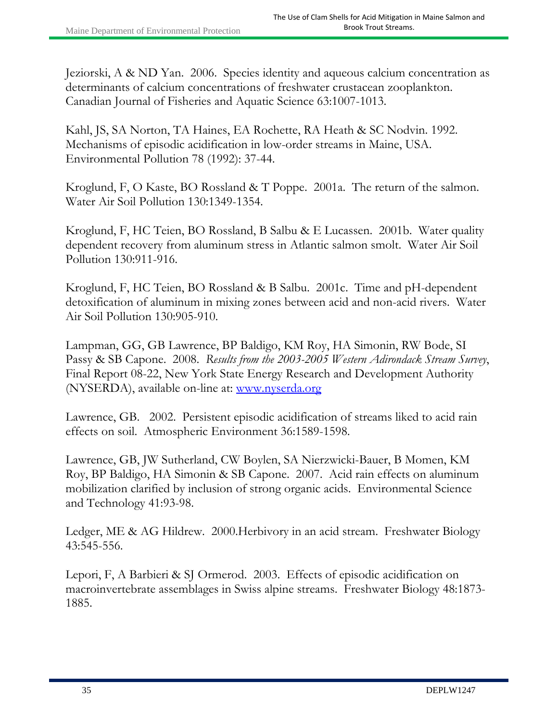Jeziorski, A & ND Yan. 2006. Species identity and aqueous calcium concentration as determinants of calcium concentrations of freshwater crustacean zooplankton. Canadian Journal of Fisheries and Aquatic Science 63:1007-1013.

Kahl, JS, SA Norton, TA Haines, EA Rochette, RA Heath & SC Nodvin. 1992. Mechanisms of episodic acidification in low-order streams in Maine, USA. Environmental Pollution 78 (1992): 37-44.

Kroglund, F, O Kaste, BO Rossland & T Poppe. 2001a. The return of the salmon. Water Air Soil Pollution 130:1349-1354.

Kroglund, F, HC Teien, BO Rossland, B Salbu & E Lucassen. 2001b. Water quality dependent recovery from aluminum stress in Atlantic salmon smolt. Water Air Soil Pollution 130:911-916.

Kroglund, F, HC Teien, BO Rossland & B Salbu. 2001c. Time and pH-dependent detoxification of aluminum in mixing zones between acid and non-acid rivers. Water Air Soil Pollution 130:905-910.

Lampman, GG, GB Lawrence, BP Baldigo, KM Roy, HA Simonin, RW Bode, SI Passy & SB Capone. 2008. *Results from the 2003-2005 Western Adirondack Stream Survey*, Final Report 08-22, New York State Energy Research and Development Authority (NYSERDA), available on-line at: www.nyserda.org

Lawrence, GB. 2002. Persistent episodic acidification of streams liked to acid rain effects on soil. Atmospheric Environment 36:1589-1598.

Lawrence, GB, JW Sutherland, CW Boylen, SA Nierzwicki-Bauer, B Momen, KM Roy, BP Baldigo, HA Simonin & SB Capone. 2007. Acid rain effects on aluminum mobilization clarified by inclusion of strong organic acids. Environmental Science and Technology 41:93-98.

Ledger, ME & AG Hildrew. 2000.Herbivory in an acid stream. Freshwater Biology 43:545-556.

Lepori, F, A Barbieri & SJ Ormerod. 2003. Effects of episodic acidification on macroinvertebrate assemblages in Swiss alpine streams. Freshwater Biology 48:1873- 1885.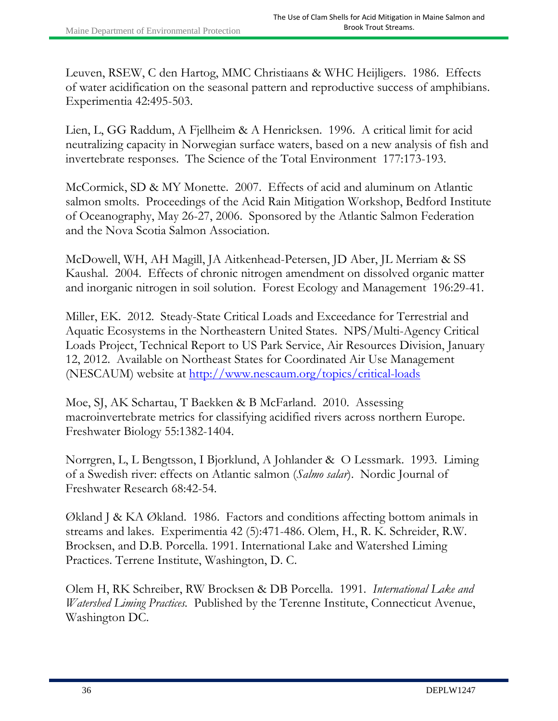Leuven, RSEW, C den Hartog, MMC Christiaans & WHC Heijligers. 1986. Effects of water acidification on the seasonal pattern and reproductive success of amphibians. Experimentia 42:495-503.

Lien, L, GG Raddum, A Fjellheim & A Henricksen. 1996. A critical limit for acid neutralizing capacity in Norwegian surface waters, based on a new analysis of fish and invertebrate responses. The Science of the Total Environment 177:173-193.

McCormick, SD & MY Monette. 2007. Effects of acid and aluminum on Atlantic salmon smolts. Proceedings of the Acid Rain Mitigation Workshop, Bedford Institute of Oceanography, May 26-27, 2006. Sponsored by the Atlantic Salmon Federation and the Nova Scotia Salmon Association.

McDowell, WH, AH Magill, JA Aitkenhead-Petersen, JD Aber, JL Merriam & SS Kaushal. 2004. Effects of chronic nitrogen amendment on dissolved organic matter and inorganic nitrogen in soil solution. Forest Ecology and Management 196:29-41.

Miller, EK. 2012. Steady-State Critical Loads and Exceedance for Terrestrial and Aquatic Ecosystems in the Northeastern United States. NPS/Multi-Agency Critical Loads Project, Technical Report to US Park Service, Air Resources Division, January 12, 2012. Available on Northeast States for Coordinated Air Use Management (NESCAUM) website at http://www.nescaum.org/topics/critical-loads

Moe, SJ, AK Schartau, T Baekken & B McFarland. 2010. Assessing macroinvertebrate metrics for classifying acidified rivers across northern Europe. Freshwater Biology 55:1382-1404.

Norrgren, L, L Bengtsson, I Bjorklund, A Johlander & O Lessmark. 1993. Liming of a Swedish river: effects on Atlantic salmon (*Salmo salar*). Nordic Journal of Freshwater Research 68:42-54.

Økland J & KA Økland. 1986. Factors and conditions affecting bottom animals in streams and lakes. Experimentia 42 (5):471-486. Olem, H., R. K. Schreider, R.W. Brocksen, and D.B. Porcella. 1991. International Lake and Watershed Liming Practices. Terrene Institute, Washington, D. C.

Olem H, RK Schreiber, RW Brocksen & DB Porcella. 1991. *International Lake and Watershed Liming Practices.* Published by the Terenne Institute, Connecticut Avenue, Washington DC.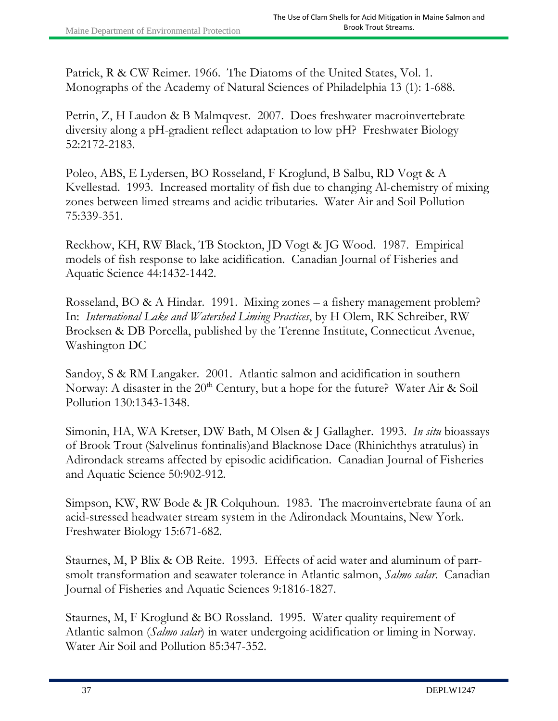Patrick, R & CW Reimer. 1966. The Diatoms of the United States, Vol. 1. Monographs of the Academy of Natural Sciences of Philadelphia 13 (1): 1-688.

Petrin, Z, H Laudon & B Malmqvest. 2007. Does freshwater macroinvertebrate diversity along a pH-gradient reflect adaptation to low pH? Freshwater Biology 52:2172-2183.

Poleo, ABS, E Lydersen, BO Rosseland, F Kroglund, B Salbu, RD Vogt & A Kvellestad. 1993. Increased mortality of fish due to changing Al-chemistry of mixing zones between limed streams and acidic tributaries. Water Air and Soil Pollution 75:339-351.

Reckhow, KH, RW Black, TB Stockton, JD Vogt & JG Wood. 1987. Empirical models of fish response to lake acidification. Canadian Journal of Fisheries and Aquatic Science 44:1432-1442.

Rosseland, BO & A Hindar. 1991. Mixing zones – a fishery management problem? In: *International Lake and Watershed Liming Practices*, by H Olem, RK Schreiber, RW Brocksen & DB Porcella, published by the Terenne Institute, Connecticut Avenue, Washington DC

Sandoy, S & RM Langaker. 2001. Atlantic salmon and acidification in southern Norway: A disaster in the  $20<sup>th</sup>$  Century, but a hope for the future? Water Air & Soil Pollution 130:1343-1348.

Simonin, HA, WA Kretser, DW Bath, M Olsen & J Gallagher. 1993. *In situ* bioassays of Brook Trout (Salvelinus fontinalis)and Blacknose Dace (Rhinichthys atratulus) in Adirondack streams affected by episodic acidification. Canadian Journal of Fisheries and Aquatic Science 50:902-912.

Simpson, KW, RW Bode & JR Colquhoun. 1983. The macroinvertebrate fauna of an acid-stressed headwater stream system in the Adirondack Mountains, New York. Freshwater Biology 15:671-682.

Staurnes, M, P Blix & OB Reite. 1993. Effects of acid water and aluminum of parrsmolt transformation and seawater tolerance in Atlantic salmon, *Salmo salar*. Canadian Journal of Fisheries and Aquatic Sciences 9:1816-1827.

Staurnes, M, F Kroglund & BO Rossland. 1995. Water quality requirement of Atlantic salmon (*Salmo salar*) in water undergoing acidification or liming in Norway. Water Air Soil and Pollution 85:347-352.